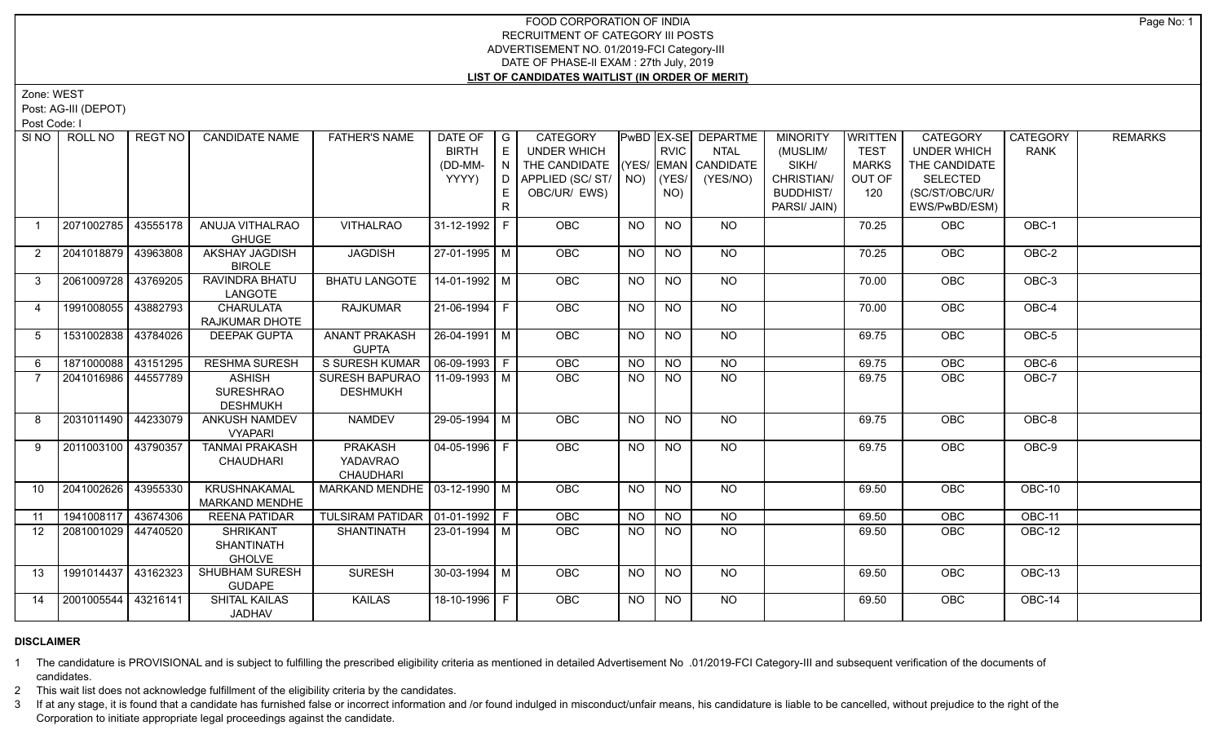Zone: WEST

Post: AG-III (DEPOT)

Post Code: I

| SI <sub>NO</sub> | ROLL NO             | REGT NO  | <b>CANDIDATE NAME</b>                                 | <b>FATHER'S NAME</b>                               | DATE OF              | $\overline{G}$ | <b>CATEGORY</b>                    |           |                | PwBD EX-SE DEPARTME | <b>MINORITY</b>  | WRITTEN      | <b>CATEGORY</b>    | <b>CATEGORY</b> | <b>REMARKS</b> |
|------------------|---------------------|----------|-------------------------------------------------------|----------------------------------------------------|----------------------|----------------|------------------------------------|-----------|----------------|---------------------|------------------|--------------|--------------------|-----------------|----------------|
|                  |                     |          |                                                       |                                                    | <b>BIRTH</b>         | E              | UNDER WHICH                        |           | <b>RVIC</b>    | <b>NTAL</b>         | (MUSLIM/         | <b>TEST</b>  | <b>UNDER WHICH</b> | <b>RANK</b>     |                |
|                  |                     |          |                                                       |                                                    | (DD-MM-              | N              | THE CANDIDATE (YES/ EMAN CANDIDATE |           |                |                     | SIKH/            | <b>MARKS</b> | THE CANDIDATE      |                 |                |
|                  |                     |          |                                                       |                                                    | YYYY)                | D I            | APPLIED (SC/ST/ NO)                |           | (YES/          | (YES/NO)            | CHRISTIAN/       | OUT OF       | <b>SELECTED</b>    |                 |                |
|                  |                     |          |                                                       |                                                    |                      |                | OBC/UR/ EWS)                       |           | NO)            |                     | <b>BUDDHIST/</b> | 120          | (SC/ST/OBC/UR/     |                 |                |
|                  |                     |          |                                                       |                                                    |                      | R              |                                    |           |                |                     | PARSI/ JAIN)     |              | EWS/PwBD/ESM)      |                 |                |
|                  | 2071002785          | 43555178 | ANUJA VITHALRAO<br><b>GHUGE</b>                       | <b>VITHALRAO</b>                                   | 31-12-1992 F         |                | <b>OBC</b>                         | NO.       | <b>NO</b>      | NO.                 |                  | 70.25        | <b>OBC</b>         | OBC-1           |                |
| $\overline{2}$   | 2041018879 43963808 |          | AKSHAY JAGDISH<br><b>BIROLE</b>                       | <b>JAGDISH</b>                                     | 27-01-1995 M         |                | OBC                                | <b>NO</b> | <b>NO</b>      | <b>NO</b>           |                  | 70.25        | <b>OBC</b>         | OBC-2           |                |
| $\mathbf{3}$     | 2061009728          | 43769205 | RAVINDRA BHATU<br>LANGOTE                             | <b>BHATU LANGOTE</b>                               | 14-01-1992   M       |                | OBC                                | <b>NO</b> | NO             | $\overline{NO}$     |                  | 70.00        | OBC                | $OBC-3$         |                |
| $\overline{4}$   | 1991008055 43882793 |          | <b>CHARULATA</b><br>RAJKUMAR DHOTE                    | <b>RAJKUMAR</b>                                    | $21-06-1994$ F       |                | OBC                                | <b>NO</b> | N <sub>O</sub> | $\overline{NO}$     |                  | 70.00        | OBC                | $OBC-4$         |                |
| -5               | 1531002838 43784026 |          | <b>DEEPAK GUPTA</b>                                   | <b>ANANT PRAKASH</b><br><b>GUPTA</b>               | $26 - 04 - 1991$ M   |                | OBC                                | <b>NO</b> | $N$ O          | $N$ O               |                  | 69.75        | OBC                | OBC-5           |                |
| 6                | 1871000088          | 43151295 | <b>RESHMA SURESH</b>                                  | S SURESH KUMAR   06-09-1993   F                    |                      |                | <b>OBC</b>                         | <b>NO</b> | <b>NO</b>      | $N$ <sup>O</sup>    |                  | 69.75        | OBC                | OBC-6           |                |
| $\overline{7}$   | 2041016986 44557789 |          | <b>ASHISH</b><br><b>SURESHRAO</b><br><b>DESHMUKH</b>  | SURESH BAPURAO   11-09-1993   M<br><b>DESHMUKH</b> |                      |                | OBC                                | NO        | <b>NO</b>      | N <sub>O</sub>      |                  | 69.75        | OBC                | OBC-7           |                |
| 8                | 2031011490 44233079 |          | <b>ANKUSH NAMDEV</b><br><b>VYAPARI</b>                | <b>NAMDEV</b>                                      | 29-05-1994 M         |                | <b>OBC</b>                         | <b>NO</b> | <b>NO</b>      | NO                  |                  | 69.75        | OBC                | OBC-8           |                |
| 9                | 2011003100 43790357 |          | <b>TANMAI PRAKASH</b><br><b>CHAUDHARI</b>             | PRAKASH<br><b>YADAVRAO</b><br><b>CHAUDHARI</b>     | $\vert$ 04-05-1996 F |                | <b>OBC</b>                         | <b>NO</b> | $N$ O          | $N$ <sup>O</sup>    |                  | 69.75        | OBC                | OBC-9           |                |
| 10 <sup>1</sup>  | 2041002626          | 43955330 | <b>KRUSHNAKAMAL</b><br>MARKAND MENDHE                 | MARKAND MENDHE   03-12-1990   M                    |                      |                | <b>OBC</b>                         | NO.       | NO.            | NO.                 |                  | 69.50        | <b>OBC</b>         | OBC-10          |                |
| 11               | 1941008117 43674306 |          | <b>REENA PATIDAR</b>                                  | TULSIRAM PATIDAR   01-01-1992   F                  |                      |                | OBC                                | <b>NO</b> | <b>NO</b>      | $N$ O               |                  | 69.50        | OBC                | OBC-11          |                |
| 12               | 2081001029 44740520 |          | <b>SHRIKANT</b><br><b>SHANTINATH</b><br><b>GHOLVE</b> | <b>SHANTINATH</b>                                  | 23-01-1994   M       |                | <b>OBC</b>                         | NO.       | NO.            | <b>NO</b>           |                  | 69.50        | <b>OBC</b>         | OBC-12          |                |
| 13               | 1991014437 43162323 |          | <b>SHUBHAM SURESH</b><br><b>GUDAPE</b>                | <b>SURESH</b>                                      | $30 - 03 - 1994$ M   |                | <b>OBC</b>                         | <b>NO</b> | <b>NO</b>      | NO                  |                  | 69.50        | OBC                | <b>OBC-13</b>   |                |
| 14               | 2001005544          | 43216141 | <b>SHITAL KAILAS</b><br><b>JADHAV</b>                 | <b>KAILAS</b>                                      | 18-10-1996 F         |                | <b>OBC</b>                         | NO.       | NO.            | NO.                 |                  | 69.50        | <b>OBC</b>         | <b>OBC-14</b>   |                |

## **DISCLAIMER**

1 The candidature is PROVISIONAL and is subject to fulfilling the prescribed eligibility criteria as mentioned in detailed Advertisement No .01/2019-FCI Category-III and subsequent verification of the documents of candidates.

2 This wait list does not acknowledge fulfillment of the eligibility criteria by the candidates.

3 If at any stage, it is found that a candidate has furnished false or incorrect information and /or found indulged in misconduct/unfair means, his candidature is liable to be cancelled, without prejudice to the right of t Corporation to initiate appropriate legal proceedings against the candidate.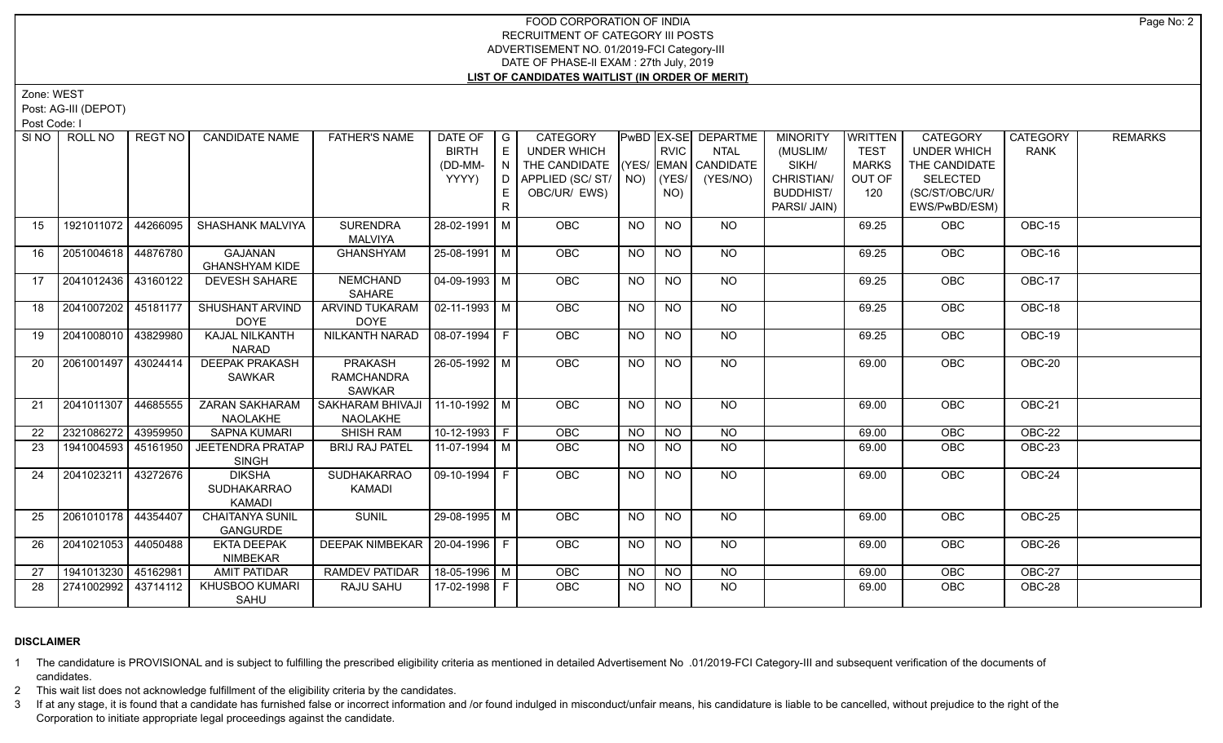Zone: WEST

Post: AG-III (DEPOT)

Post Code: I

|                   | SINO   ROLL NO      | REGT NO I | <b>CANDIDATE NAME</b>                                | <b>FATHER'S NAME</b>                                 | DATE OF<br><b>BIRTH</b><br>(DD-MM-<br>YYYY) | $\overline{G}$<br>E<br>N<br>D<br>E. | <b>CATEGORY</b><br><b>UNDER WHICH</b><br>THE CANDIDATE<br>APPLIED (SC/ST/<br>OBC/UR/ EWS) |           | <b>RVIC</b><br>$NO)$ $(YES/$<br>NO) | PwBD   EX-SE   DEPARTME<br><b>NTAL</b><br>(YES/ EMAN CANDIDATE<br>(YES/NO) | <b>MINORITY</b><br>(MUSLIM/<br>SIKH/<br>CHRISTIAN/<br><b>BUDDHIST/</b> | WRITTEN<br><b>TEST</b><br><b>MARKS</b><br>OUT OF<br>120 | CATEGORY<br>UNDER WHICH<br>THE CANDIDATE<br><b>SELECTED</b><br>(SC/ST/OBC/UR/ | <b>CATEGORY</b><br><b>RANK</b> | <b>REMARKS</b> |
|-------------------|---------------------|-----------|------------------------------------------------------|------------------------------------------------------|---------------------------------------------|-------------------------------------|-------------------------------------------------------------------------------------------|-----------|-------------------------------------|----------------------------------------------------------------------------|------------------------------------------------------------------------|---------------------------------------------------------|-------------------------------------------------------------------------------|--------------------------------|----------------|
|                   |                     |           |                                                      |                                                      |                                             |                                     |                                                                                           |           |                                     |                                                                            | PARSI/ JAIN)                                                           |                                                         | EWS/PwBD/ESM)                                                                 |                                |                |
| 15                | 1921011072          | 44266095  | <b>SHASHANK MALVIYA</b>                              | <b>SURENDRA</b><br>MALVIYA                           | 28-02-1991 M                                |                                     | <b>OBC</b>                                                                                | <b>NO</b> | <b>NO</b>                           | NO.                                                                        |                                                                        | 69.25                                                   | <b>OBC</b>                                                                    | OBC-15                         |                |
| 16                | 2051004618 44876780 |           | <b>GAJANAN</b><br><b>GHANSHYAM KIDE</b>              | <b>GHANSHYAM</b>                                     | $25-08-1991$ M                              |                                     | OBC                                                                                       | <b>NO</b> | <b>NO</b>                           | <b>NO</b>                                                                  |                                                                        | 69.25                                                   | OBC                                                                           | OBC-16                         |                |
| 17                | 2041012436 43160122 |           | <b>DEVESH SAHARE</b>                                 | <b>NEMCHAND</b><br>SAHARE                            | 04-09-1993 M                                |                                     | OBC                                                                                       | <b>NO</b> | $\overline{NQ}$                     | NO                                                                         |                                                                        | 69.25                                                   | OBC                                                                           | OBC-17                         |                |
| 18                | 2041007202 45181177 |           | SHUSHANT ARVIND<br><b>DOYE</b>                       | <b>ARVIND TUKARAM</b><br><b>DOYE</b>                 | $02 - 11 - 1993$ M                          |                                     | <b>OBC</b>                                                                                | NO.       | <b>NO</b>                           | NO                                                                         |                                                                        | 69.25                                                   | <b>OBC</b>                                                                    | $OBC-18$                       |                |
| 19                | 2041008010 43829980 |           | KAJAL NILKANTH<br><b>NARAD</b>                       | NILKANTH NARAD                                       | $08-07-1994$ F                              |                                     | <b>OBC</b>                                                                                | <b>NO</b> | <b>NO</b>                           | NO                                                                         |                                                                        | 69.25                                                   | <b>OBC</b>                                                                    | OBC-19                         |                |
| 20                | 2061001497 43024414 |           | <b>DEEPAK PRAKASH</b><br><b>SAWKAR</b>               | <b>PRAKASH</b><br><b>RAMCHANDRA</b><br><b>SAWKAR</b> | 26-05-1992 M                                |                                     | OBC                                                                                       | <b>NO</b> | N <sub>O</sub>                      | NO                                                                         |                                                                        | 69.00                                                   | OBC                                                                           | OBC-20                         |                |
| 21                | 2041011307          | 44685555  | <b>ZARAN SAKHARAM</b><br>NAOLAKHE                    | SAKHARAM BHIVAJI<br><b>NAOLAKHE</b>                  | $11-10-1992$ M                              |                                     | <b>OBC</b>                                                                                | NO        | <b>NO</b>                           | NO                                                                         |                                                                        | 69.00                                                   | OBC                                                                           | OBC-21                         |                |
| $22 \overline{ }$ | 2321086272          | 43959950  | <b>SAPNA KUMARI</b>                                  | <b>SHISH RAM</b>                                     | $10-12-1993$ F                              |                                     | <b>OBC</b>                                                                                | NO        | NO                                  | $N$ O                                                                      |                                                                        | 69.00                                                   | OBC                                                                           | <b>OBC-22</b>                  |                |
| 23                | 1941004593          | 45161950  | <b>JEETENDRA PRATAP</b><br><b>SINGH</b>              | <b>BRIJ RAJ PATEL</b>                                | 11-07-1994 M                                |                                     | <b>OBC</b>                                                                                | NO.       | <b>NO</b>                           | <b>NO</b>                                                                  |                                                                        | 69.00                                                   | <b>OBC</b>                                                                    | <b>OBC-23</b>                  |                |
| 24                | 2041023211 43272676 |           | <b>DIKSHA</b><br><b>SUDHAKARRAO</b><br><b>KAMADI</b> | <b>SUDHAKARRAO</b><br><b>KAMADI</b>                  | 09-10-1994 F                                |                                     | OBC                                                                                       | NO        | <b>NO</b>                           | <b>NO</b>                                                                  |                                                                        | 69.00                                                   | <b>OBC</b>                                                                    | OBC-24                         |                |
| 25                | 2061010178 44354407 |           | <b>CHAITANYA SUNIL</b><br><b>GANGURDE</b>            | <b>SUNIL</b>                                         | 29-08-1995 M                                |                                     | <b>OBC</b>                                                                                | <b>NO</b> | <b>NO</b>                           | NO.                                                                        |                                                                        | 69.00                                                   | <b>OBC</b>                                                                    | <b>OBC-25</b>                  |                |
| 26                | 2041021053          | 44050488  | <b>EKTA DEEPAK</b><br><b>NIMBEKAR</b>                | DEEPAK NIMBEKAR   20-04-1996   F                     |                                             |                                     | OBC                                                                                       | <b>NO</b> | <b>NO</b>                           | <b>NO</b>                                                                  |                                                                        | 69.00                                                   | OBC                                                                           | OBC-26                         |                |
| 27                | 1941013230 45162981 |           | <b>AMIT PATIDAR</b>                                  | RAMDEV PATIDAR                                       | 18-05-1996 M                                |                                     | OBC                                                                                       | <b>NO</b> | <b>NO</b>                           | <b>NO</b>                                                                  |                                                                        | 69.00                                                   | OBC                                                                           | OBC-27                         |                |
| 28                | 2741002992          | 43714112  | KHUSBOO KUMARI<br><b>SAHU</b>                        | RAJU SAHU                                            | 17-02-1998 F                                |                                     | <b>OBC</b>                                                                                | NO.       | <b>NO</b>                           | <b>NO</b>                                                                  |                                                                        | 69.00                                                   | OBC                                                                           | OBC-28                         |                |

#### **DISCLAIMER**

1 The candidature is PROVISIONAL and is subject to fulfilling the prescribed eligibility criteria as mentioned in detailed Advertisement No .01/2019-FCI Category-III and subsequent verification of the documents of candidates.

2 This wait list does not acknowledge fulfillment of the eligibility criteria by the candidates.

3 If at any stage, it is found that a candidate has furnished false or incorrect information and /or found indulged in misconduct/unfair means, his candidature is liable to be cancelled, without prejudice to the right of t Corporation to initiate appropriate legal proceedings against the candidate.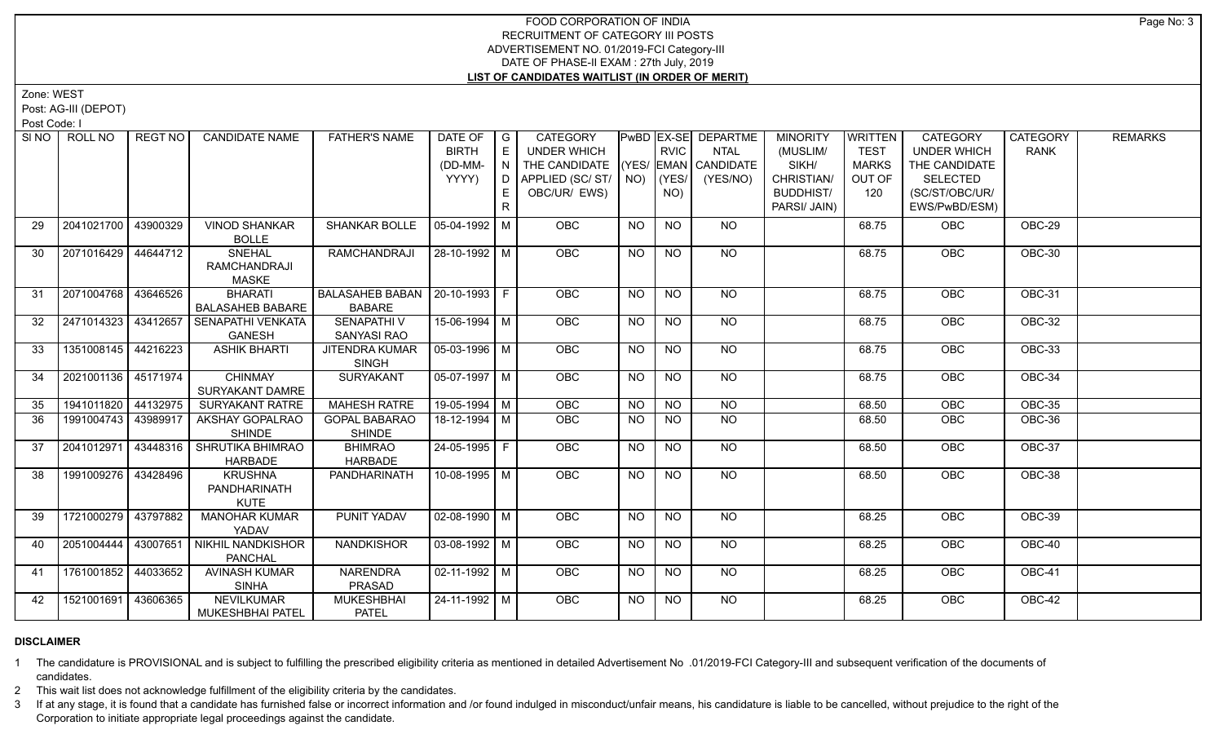Zone: WEST

Post: AG-III (DEPOT)

Post Code: I

|    | SINO   ROLL NO        | REGT NO  | <b>CANDIDATE NAME</b>    | <b>FATHER'S NAME</b>             | DATE OF            | $\overline{G}$            | <b>CATEGORY</b>    |           |                 | <b>PwBD EX-SE DEPARTME</b> | <b>MINORITY</b>  | <b>WRITTEN</b> | CATEGORY           | <b>CATEGORY</b> | <b>REMARKS</b> |
|----|-----------------------|----------|--------------------------|----------------------------------|--------------------|---------------------------|--------------------|-----------|-----------------|----------------------------|------------------|----------------|--------------------|-----------------|----------------|
|    |                       |          |                          |                                  | <b>BIRTH</b>       | E                         | <b>UNDER WHICH</b> |           | <b>RVIC</b>     | <b>NTAL</b>                | (MUSLIM/         | <b>TEST</b>    | <b>UNDER WHICH</b> | <b>RANK</b>     |                |
|    |                       |          |                          |                                  | (DD-MM-            | $\mathsf{LN}(\mathsf{L})$ | THE CANDIDATE      |           |                 | (YES/ EMAN CANDIDATE       | SIKH/            | <b>MARKS</b>   | THE CANDIDATE      |                 |                |
|    |                       |          |                          |                                  | YYYY)              | D.                        | APPLIED (SC/ST/    |           | $NO)$ $ (YES/$  | (YES/NO)                   | CHRISTIAN/       | OUT OF         | <b>SELECTED</b>    |                 |                |
|    |                       |          |                          |                                  |                    | E.                        | OBC/UR/ EWS)       |           | NO)             |                            | <b>BUDDHIST/</b> | 120            | (SC/ST/OBC/UR/     |                 |                |
|    |                       |          |                          |                                  |                    | R                         |                    |           |                 |                            | PARSI/ JAIN)     |                | EWS/PwBD/ESM)      |                 |                |
| 29 | 2041021700            | 43900329 | <b>VINOD SHANKAR</b>     | SHANKAR BOLLE                    | 05-04-1992 M       |                           | OBC                | <b>NO</b> | <b>NO</b>       | <b>NO</b>                  |                  | 68.75          | <b>OBC</b>         | OBC-29          |                |
|    |                       |          | <b>BOLLE</b>             |                                  |                    |                           |                    |           |                 |                            |                  |                |                    |                 |                |
| 30 | 2071016429   44644712 |          | <b>SNEHAL</b>            | <b>RAMCHANDRAJI</b>              | 28-10-1992 M       |                           | OBC                | <b>NO</b> | <b>NO</b>       | NO                         |                  | 68.75          | OBC                | OBC-30          |                |
|    |                       |          | RAMCHANDRAJI             |                                  |                    |                           |                    |           |                 |                            |                  |                |                    |                 |                |
|    |                       |          | <b>MASKE</b>             |                                  |                    |                           |                    |           |                 |                            |                  |                |                    |                 |                |
| 31 | 2071004768   43646526 |          | <b>BHARATI</b>           | BALASAHEB BABAN   20-10-1993   F |                    |                           | <b>OBC</b>         | NO.       | <b>NO</b>       | NO                         |                  | 68.75          | <b>OBC</b>         | OBC-31          |                |
|    |                       |          | <b>BALASAHEB BABARE</b>  | <b>BABARE</b>                    |                    |                           |                    |           |                 |                            |                  |                |                    |                 |                |
| 32 | 2471014323 43412657   |          | SENAPATHI VENKATA        | SENAPATHI V                      | 15-06-1994 M       |                           | <b>OBC</b>         | <b>NO</b> | <b>NO</b>       | NO                         |                  | 68.75          | <b>OBC</b>         | OBC-32          |                |
|    |                       |          | <b>GANESH</b>            | SANYASI RAO                      |                    |                           |                    |           |                 |                            |                  |                |                    |                 |                |
| 33 | 1351008145 44216223   |          | <b>ASHIK BHARTI</b>      | JITENDRA KUMAR                   | 05-03-1996   M     |                           | OBC                | NO        | <b>NO</b>       | NO                         |                  | 68.75          | OBC                | OBC-33          |                |
|    |                       |          |                          | <b>SINGH</b>                     |                    |                           |                    |           |                 |                            |                  |                |                    |                 |                |
| 34 | 2021001136 45171974   |          | <b>CHINMAY</b>           | <b>SURYAKANT</b>                 | $05-07-1997$ M     |                           | <b>OBC</b>         | NO        | $\overline{NO}$ | $N$ <sup>O</sup>           |                  | 68.75          | <b>OBC</b>         | <b>OBC-34</b>   |                |
|    |                       |          | SURYAKANT DAMRE          |                                  |                    |                           |                    |           |                 |                            |                  |                |                    |                 |                |
| 35 | 1941011820            | 44132975 | <b>SURYAKANT RATRE</b>   | <b>MAHESH RATRE</b>              | $19-05-1994$ M     |                           | OBC                | <b>NO</b> | <b>NO</b>       | $N$ O                      |                  | 68.50          | OBC                | <b>OBC-35</b>   |                |
| 36 | 1991004743 43989917   |          | AKSHAY GOPALRAO          | <b>GOPAL BABARAO</b>             | $18-12-1994$ M     |                           | OBC                | NO.       | <b>NO</b>       | <b>NO</b>                  |                  | 68.50          | <b>OBC</b>         | OBC-36          |                |
|    |                       |          | <b>SHINDE</b>            | <b>SHINDE</b>                    |                    |                           |                    |           |                 |                            |                  |                |                    |                 |                |
| 37 | 2041012971            | 43448316 | SHRUTIKA BHIMRAO         | <b>BHIMRAO</b>                   | 24-05-1995 F       |                           | <b>OBC</b>         | NO.       | <b>NO</b>       | NO                         |                  | 68.50          | <b>OBC</b>         | OBC-37          |                |
|    |                       |          | <b>HARBADE</b>           | <b>HARBADE</b>                   |                    |                           |                    |           |                 |                            |                  |                |                    |                 |                |
| 38 | 1991009276 43428496   |          | <b>KRUSHNA</b>           | PANDHARINATH                     | 10-08-1995   M     |                           | <b>OBC</b>         | NO.       | <b>NO</b>       | NO                         |                  | 68.50          | <b>OBC</b>         | OBC-38          |                |
|    |                       |          | PANDHARINATH             |                                  |                    |                           |                    |           |                 |                            |                  |                |                    |                 |                |
|    |                       |          | <b>KUTE</b>              |                                  |                    |                           |                    |           |                 |                            |                  |                |                    |                 |                |
| 39 | 1721000279 43797882   |          | <b>MANOHAR KUMAR</b>     | <b>PUNIT YADAV</b>               | $02-08-1990$ M     |                           | OBC                | <b>NO</b> | NO              | NO                         |                  | 68.25          | OBC                | <b>OBC-39</b>   |                |
|    |                       |          | YADAV                    |                                  |                    |                           |                    |           |                 |                            |                  |                |                    |                 |                |
| 40 | 2051004444            | 43007651 | <b>NIKHIL NANDKISHOR</b> | <b>NANDKISHOR</b>                | $03-08-1992$   M   |                           | <b>OBC</b>         | <b>NO</b> | <b>NO</b>       | <b>NO</b>                  |                  | 68.25          | <b>OBC</b>         | OBC-40          |                |
|    |                       |          | <b>PANCHAL</b>           |                                  |                    |                           |                    |           |                 |                            |                  |                |                    |                 |                |
| 41 | 1761001852 44033652   |          | <b>AVINASH KUMAR</b>     | <b>NARENDRA</b>                  | $02 - 11 - 1992$ M |                           | OBC                | <b>NO</b> | <b>NO</b>       | NO                         |                  | 68.25          | <b>OBC</b>         | OBC-41          |                |
|    |                       |          | <b>SINHA</b>             | PRASAD                           |                    |                           |                    |           |                 |                            |                  |                |                    |                 |                |
| 42 | 1521001691 43606365   |          | NEVILKUMAR               | <b>MUKESHBHAI</b>                | 24-11-1992 M       |                           | <b>OBC</b>         | NO.       | <b>NO</b>       | NO                         |                  | 68.25          | <b>OBC</b>         | OBC-42          |                |
|    |                       |          | <b>MUKESHBHAI PATEL</b>  | <b>PATEL</b>                     |                    |                           |                    |           |                 |                            |                  |                |                    |                 |                |

#### **DISCLAIMER**

1 The candidature is PROVISIONAL and is subject to fulfilling the prescribed eligibility criteria as mentioned in detailed Advertisement No .01/2019-FCI Category-III and subsequent verification of the documents of candidates.

2 This wait list does not acknowledge fulfillment of the eligibility criteria by the candidates.

3 If at any stage, it is found that a candidate has furnished false or incorrect information and /or found indulged in misconduct/unfair means, his candidature is liable to be cancelled, without prejudice to the right of t Corporation to initiate appropriate legal proceedings against the candidate.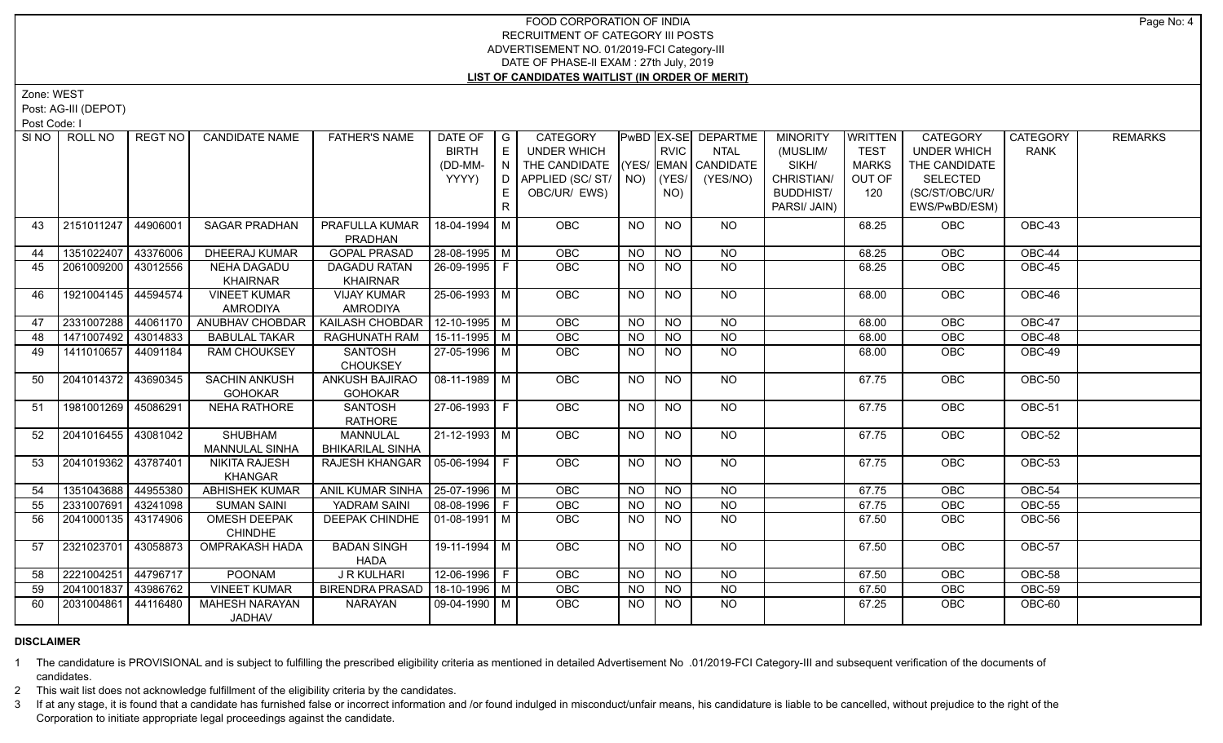Zone: WEST

Post: AG-III (DEPOT)

Post Code: I

|    | SINO   ROLL NO        | REGT NO  | <b>CANDIDATE NAME</b> | <b>FATHER'S NAME</b>              | DATE OF            | $\overline{G}$              | <b>CATEGORY</b>    |                 |                | <b>PwBD EX-SE DEPARTME</b> | <b>MINORITY</b>  | <b>WRITTEN</b> | <b>CATEGORY</b>    | <b>CATEGORY</b> | <b>REMARKS</b> |
|----|-----------------------|----------|-----------------------|-----------------------------------|--------------------|-----------------------------|--------------------|-----------------|----------------|----------------------------|------------------|----------------|--------------------|-----------------|----------------|
|    |                       |          |                       |                                   | <b>BIRTH</b>       | $\mathsf{E}% _{\mathsf{H}}$ | <b>UNDER WHICH</b> |                 | <b>RVIC</b>    | <b>NTAL</b>                | (MUSLIM/         | <b>TEST</b>    | <b>UNDER WHICH</b> | <b>RANK</b>     |                |
|    |                       |          |                       |                                   | (DD-MM-            | $\overline{N}$              | THE CANDIDATE      |                 |                | (YES/ EMAN CANDIDATE       | SIKH/            | MARKS          | THE CANDIDATE      |                 |                |
|    |                       |          |                       |                                   | YYYY)              | $\overline{D}$              | APPLIED (SC/ST/    |                 | $NO)$ $ (YES/$ | (YES/NO)                   | CHRISTIAN/       | OUT OF         | <b>SELECTED</b>    |                 |                |
|    |                       |          |                       |                                   |                    | E                           | OBC/UR/ EWS)       |                 | NO)            |                            | <b>BUDDHIST/</b> | 120            | (SC/ST/OBC/UR/     |                 |                |
|    |                       |          |                       |                                   |                    | $\mathsf{R}$                |                    |                 |                |                            | PARSI/ JAIN)     |                | EWS/PwBD/ESM)      |                 |                |
| 43 | 2151011247            | 44906001 | <b>SAGAR PRADHAN</b>  | PRAFULLA KUMAR                    | 18-04-1994 M       |                             | <b>OBC</b>         | NO              | <b>NO</b>      | NO.                        |                  | 68.25          | <b>OBC</b>         | OBC-43          |                |
|    |                       |          |                       | PRADHAN                           |                    |                             |                    |                 |                |                            |                  |                |                    |                 |                |
| 44 | 1351022407            | 43376006 | DHEERAJ KUMAR         | <b>GOPAL PRASAD</b>               | 28-08-1995   M     |                             | OBC                | <b>NO</b>       | <b>NO</b>      | <b>NO</b>                  |                  | 68.25          | OBC                | OBC-44          |                |
| 45 | 2061009200            | 43012556 | <b>NEHA DAGADU</b>    | <b>DAGADU RATAN</b>               | 26-09-1995 F       |                             | OBC                | NO              | <b>NO</b>      | <b>NO</b>                  |                  | 68.25          | <b>OBC</b>         | OBC-45          |                |
|    |                       |          | <b>KHAIRNAR</b>       | <b>KHAIRNAR</b>                   |                    |                             |                    |                 |                |                            |                  |                |                    |                 |                |
| 46 | 1921004145            | 44594574 | <b>VINEET KUMAR</b>   | <b>VIJAY KUMAR</b>                | 25-06-1993 M       |                             | OBC                | NO.             | <b>NO</b>      | <b>NO</b>                  |                  | 68.00          | OBC                | OBC-46          |                |
|    |                       |          | <b>AMRODIYA</b>       | <b>AMRODIYA</b>                   |                    |                             |                    |                 |                |                            |                  |                |                    |                 |                |
| 47 | 2331007288            | 44061170 | ANUBHAV CHOBDAR       | KAILASH CHOBDAR                   | $12 - 10 - 1995$ M |                             | OBC                | N <sub>O</sub>  | N <sub>O</sub> | N <sub>O</sub>             |                  | 68.00          | OBC                | <b>OBC-47</b>   |                |
| 48 | 1471007492 43014833   |          | <b>BABULAL TAKAR</b>  | RAGHUNATH RAM                     | $15-11-1995$ M     |                             | <b>OBC</b>         | <b>NO</b>       | <b>NO</b>      | $\overline{NO}$            |                  | 68.00          | <b>OBC</b>         | $OBC-48$        |                |
| 49 | 1411010657            | 44091184 | <b>RAM CHOUKSEY</b>   | SANTOSH                           | 27-05-1996 M       |                             | OBC                | $\overline{NO}$ | N <sub>O</sub> | N <sub>O</sub>             |                  | 68.00          | OBC                | OBC-49          |                |
|    |                       |          |                       | <b>CHOUKSEY</b>                   |                    |                             |                    |                 |                |                            |                  |                |                    |                 |                |
| 50 | 2041014372 43690345   |          | <b>SACHIN ANKUSH</b>  | ANKUSH BAJIRAO                    | $08 - 11 - 1989$ M |                             | <b>OBC</b>         | NO              | <b>NO</b>      | NO                         |                  | 67.75          | <b>OBC</b>         | OBC-50          |                |
|    |                       |          | <b>GOHOKAR</b>        | <b>GOHOKAR</b>                    |                    |                             |                    |                 |                |                            |                  |                |                    |                 |                |
| 51 | 1981001269 45086291   |          | <b>NEHA RATHORE</b>   | <b>SANTOSH</b>                    | 27-06-1993 F       |                             | <b>OBC</b>         | NO.             | <b>NO</b>      | NO                         |                  | 67.75          | <b>OBC</b>         | OBC-51          |                |
|    | 2041016455 43081042   |          | <b>SHUBHAM</b>        | <b>RATHORE</b><br><b>MANNULAL</b> | $21 - 12 - 1993$ M |                             | OBC                |                 | <b>NO</b>      | <b>NO</b>                  |                  |                |                    | OBC-52          |                |
| 52 |                       |          | MANNULAL SINHA        | <b>BHIKARILAL SINHA</b>           |                    |                             |                    | <b>NO</b>       |                |                            |                  | 67.75          | <b>OBC</b>         |                 |                |
| 53 | 2041019362   43787401 |          | <b>NIKITA RAJESH</b>  | RAJESH KHANGAR   05-06-1994   F   |                    |                             | <b>OBC</b>         | NO.             | <b>NO</b>      | <b>NO</b>                  |                  | 67.75          | <b>OBC</b>         | OBC-53          |                |
|    |                       |          | <b>KHANGAR</b>        |                                   |                    |                             |                    |                 |                |                            |                  |                |                    |                 |                |
| 54 | 1351043688 44955380   |          | <b>ABHISHEK KUMAR</b> | ANIL KUMAR SINHA   25-07-1996   M |                    |                             | OBC                | NO              | N <sub>O</sub> | <b>NO</b>                  |                  | 67.75          | OBC                | OBC-54          |                |
| 55 | 2331007691            | 43241098 | <b>SUMAN SAINI</b>    | YADRAM SAINI                      | $08-08-1996$ F     |                             | <b>OBC</b>         | <b>NO</b>       | <b>NO</b>      | N <sub>O</sub>             |                  | 67.75          | OBC                | OBC-55          |                |
| 56 | 2041000135 43174906   |          | OMESH DEEPAK          | DEEPAK CHINDHE   01-08-1991   M   |                    |                             | OBC                | <b>NO</b>       | <b>NO</b>      | N <sub>O</sub>             |                  | 67.50          | OBC                | <b>OBC-56</b>   |                |
|    |                       |          | <b>CHINDHE</b>        |                                   |                    |                             |                    |                 |                |                            |                  |                |                    |                 |                |
| 57 | 2321023701            | 43058873 | <b>OMPRAKASH HADA</b> | <b>BADAN SINGH</b>                | $19-11-1994$ M     |                             | OBC                | NO              | <b>NO</b>      | NO                         |                  | 67.50          | <b>OBC</b>         | <b>OBC-57</b>   |                |
|    |                       |          |                       | <b>HADA</b>                       |                    |                             |                    |                 |                |                            |                  |                |                    |                 |                |
| 58 | 2221004251            | 44796717 | <b>POONAM</b>         | <b>J R KULHARI</b>                | 12-06-1996 F       |                             | OBC                | NO.             | <b>NO</b>      | <b>NO</b>                  |                  | 67.50          | OBC                | OBC-58          |                |
| 59 | 2041001837            | 43986762 | <b>VINEET KUMAR</b>   | <b>BIRENDRA PRASAD</b>            | 18-10-1996 M       |                             | OBC                | <b>NO</b>       | NO             | $N$ O                      |                  | 67.50          | OBC                | OBC-59          |                |
| 60 | 2031004861            | 44116480 | <b>MAHESH NARAYAN</b> | <b>NARAYAN</b>                    | 09-04-1990   M     |                             | <b>OBC</b>         | <b>NO</b>       | <b>NO</b>      | <b>NO</b>                  |                  | 67.25          | <b>OBC</b>         | OBC-60          |                |
|    |                       |          | <b>JADHAV</b>         |                                   |                    |                             |                    |                 |                |                            |                  |                |                    |                 |                |

# **DISCLAIMER**

1 The candidature is PROVISIONAL and is subject to fulfilling the prescribed eligibility criteria as mentioned in detailed Advertisement No .01/2019-FCI Category-III and subsequent verification of the documents of candidates.

2 This wait list does not acknowledge fulfillment of the eligibility criteria by the candidates.

3 If at any stage, it is found that a candidate has furnished false or incorrect information and /or found indulged in misconduct/unfair means, his candidature is liable to be cancelled, without prejudice to the right of t Corporation to initiate appropriate legal proceedings against the candidate.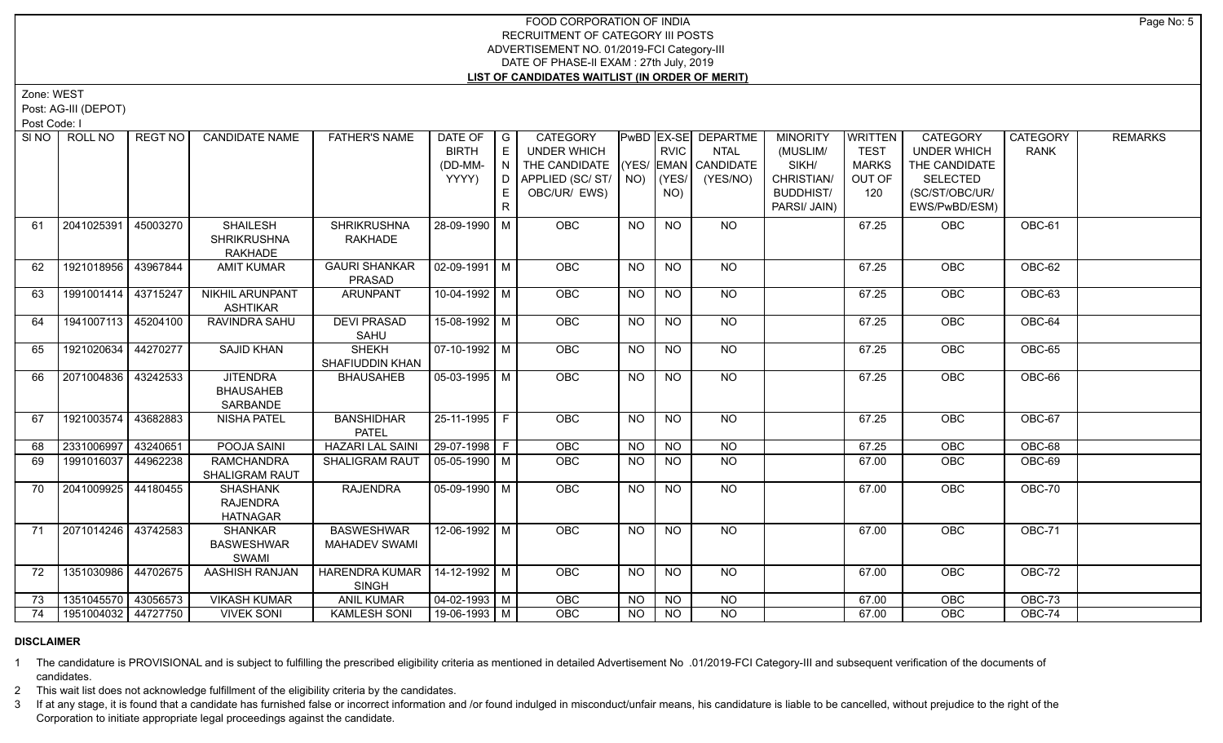Zone: WEST

Post: AG-III (DEPOT)

Post Code: I

| SI <sub>NO</sub> | ROLL NO             | <b>REGT NO</b> | <b>CANDIDATE NAME</b>                                 | <b>FATHER'S NAME</b>                            | DATE OF<br><b>BIRTH</b><br>(DD-MM-<br>YYYY) | $\overline{G}$<br>E<br>N<br>D.<br>R. | <b>CATEGORY</b><br>UNDER WHICH<br>THE CANDIDATE (YES/ EMAN CANDIDATE<br>APPLIED (SC/ST/ $\vert$ NO)<br>OBC/UR/ EWS) |           | <b>RVIC</b><br>(YES/<br>NO) | PwBD EX-SE DEPARTME<br><b>NTAL</b><br>(YES/NO) | <b>MINORITY</b><br>(MUSLIM/<br>SIKH/<br>CHRISTIAN/<br><b>BUDDHIST/</b><br>PARSI/ JAIN) | <b>WRITTEN</b><br><b>TEST</b><br><b>MARKS</b><br>OUT OF<br>120 | <b>CATEGORY</b><br><b>UNDER WHICH</b><br>THE CANDIDATE<br><b>SELECTED</b><br>(SC/ST/OBC/UR/<br>EWS/PwBD/ESM) | <b>CATEGORY</b><br><b>RANK</b> | <b>REMARKS</b> |
|------------------|---------------------|----------------|-------------------------------------------------------|-------------------------------------------------|---------------------------------------------|--------------------------------------|---------------------------------------------------------------------------------------------------------------------|-----------|-----------------------------|------------------------------------------------|----------------------------------------------------------------------------------------|----------------------------------------------------------------|--------------------------------------------------------------------------------------------------------------|--------------------------------|----------------|
| 61               | 2041025391          | 45003270       | <b>SHAILESH</b><br><b>SHRIKRUSHNA</b><br>RAKHADE      | <b>SHRIKRUSHNA</b><br>RAKHADE                   | 28-09-1990 M                                |                                      | OBC                                                                                                                 | <b>NO</b> | <b>NO</b>                   | NO                                             |                                                                                        | 67.25                                                          | OBC                                                                                                          | OBC-61                         |                |
| 62               | 1921018956 43967844 |                | <b>AMIT KUMAR</b>                                     | <b>GAURI SHANKAR</b><br>PRASAD                  | $\sqrt{02-09-1991}$ M                       |                                      | <b>OBC</b>                                                                                                          | <b>NO</b> | <b>NO</b>                   | NO                                             |                                                                                        | 67.25                                                          | OBC                                                                                                          | <b>OBC-62</b>                  |                |
| 63               | 1991001414 43715247 |                | <b>NIKHIL ARUNPANT</b><br><b>ASHTIKAR</b>             | <b>ARUNPANT</b>                                 | $10-04-1992$ M                              |                                      | <b>OBC</b>                                                                                                          | <b>NO</b> | <b>NO</b>                   | $N$ <sup>O</sup>                               |                                                                                        | 67.25                                                          | OBC                                                                                                          | <b>OBC-63</b>                  |                |
| 64               | 1941007113 45204100 |                | RAVINDRA SAHU                                         | <b>DEVI PRASAD</b><br>SAHU                      | 15-08-1992 M                                |                                      | OBC                                                                                                                 | <b>NO</b> | <b>NO</b>                   | <b>NO</b>                                      |                                                                                        | 67.25                                                          | OBC                                                                                                          | OBC-64                         |                |
| 65               | 1921020634 44270277 |                | <b>SAJID KHAN</b>                                     | <b>SHEKH</b><br>SHAFIUDDIN KHAN                 | 07-10-1992   M                              |                                      | OBC                                                                                                                 | <b>NO</b> | <b>NO</b>                   | NO                                             |                                                                                        | 67.25                                                          | OBC                                                                                                          | OBC-65                         |                |
| 66               | 2071004836          | 43242533       | <b>JITENDRA</b><br><b>BHAUSAHEB</b><br>SARBANDE       | <b>BHAUSAHEB</b>                                | $\sqrt{05-03-1995}$ M                       |                                      | <b>OBC</b>                                                                                                          | <b>NO</b> | <b>NO</b>                   | NO                                             |                                                                                        | 67.25                                                          | OBC                                                                                                          | OBC-66                         |                |
| 67               | 1921003574 43682883 |                | <b>NISHA PATEL</b>                                    | <b>BANSHIDHAR</b><br><b>PATEL</b>               | 25-11-1995 F                                |                                      | <b>OBC</b>                                                                                                          | NO.       | NO                          | NO                                             |                                                                                        | 67.25                                                          | <b>OBC</b>                                                                                                   | OBC-67                         |                |
| 68               | 2331006997 43240651 |                | POOJA SAINI                                           | <b>HAZARI LAL SAINI</b>                         | $ 29-07-1998 F$                             |                                      | <b>OBC</b>                                                                                                          | <b>NO</b> | NO.                         | <b>NO</b>                                      |                                                                                        | 67.25                                                          | <b>OBC</b>                                                                                                   | OBC-68                         |                |
| 69               | 1991016037 44962238 |                | <b>RAMCHANDRA</b><br>SHALIGRAM RAUT                   | <b>SHALIGRAM RAUT</b>                           | 05-05-1990   M                              |                                      | OBC                                                                                                                 | <b>NO</b> | <b>NO</b>                   | <b>NO</b>                                      |                                                                                        | 67.00                                                          | OBC                                                                                                          | OBC-69                         |                |
| 70               | 2041009925          | 44180455       | <b>SHASHANK</b><br><b>RAJENDRA</b><br><b>HATNAGAR</b> | <b>RAJENDRA</b>                                 | 05-09-1990   M                              |                                      | <b>OBC</b>                                                                                                          | <b>NO</b> | <b>NO</b>                   | NO                                             |                                                                                        | 67.00                                                          | OBC                                                                                                          | OBC-70                         |                |
| 71               | 2071014246 43742583 |                | <b>SHANKAR</b><br><b>BASWESHWAR</b><br>SWAMI          | <b>BASWESHWAR</b><br><b>MAHADEV SWAMI</b>       | $12 - 06 - 1992$ M                          |                                      | OBC                                                                                                                 | <b>NO</b> | N <sub>O</sub>              | N <sub>O</sub>                                 |                                                                                        | 67.00                                                          | OBC                                                                                                          | <b>OBC-71</b>                  |                |
| 72               | 1351030986 44702675 |                | AASHISH RANJAN                                        | HARENDRA KUMAR   14-12-1992   M<br><b>SINGH</b> |                                             |                                      | OBC                                                                                                                 | <b>NO</b> | $N$ <sup>O</sup>            | NO                                             |                                                                                        | 67.00                                                          | <b>OBC</b>                                                                                                   | $OBC-72$                       |                |
| 73               | 1351045570 43056573 |                | <b>VIKASH KUMAR</b>                                   | <b>ANIL KUMAR</b>                               | $\sqrt{04-02-1993}$ M                       |                                      | OBC                                                                                                                 | <b>NO</b> | <b>NO</b>                   | <b>NO</b>                                      |                                                                                        | 67.00                                                          | OBC                                                                                                          | <b>OBC-73</b>                  |                |
| 74               | 1951004032 44727750 |                | <b>VIVEK SONI</b>                                     | <b>KAMLESH SONI</b>                             | $19-06-1993$ M                              |                                      | <b>OBC</b>                                                                                                          | NO        | NO                          | <b>NO</b>                                      |                                                                                        | 67.00                                                          | OBC                                                                                                          | OBC-74                         |                |

#### **DISCLAIMER**

1 The candidature is PROVISIONAL and is subject to fulfilling the prescribed eligibility criteria as mentioned in detailed Advertisement No .01/2019-FCI Category-III and subsequent verification of the documents of candidates.

2 This wait list does not acknowledge fulfillment of the eligibility criteria by the candidates.

3 If at any stage, it is found that a candidate has furnished false or incorrect information and /or found indulged in misconduct/unfair means, his candidature is liable to be cancelled, without prejudice to the right of t Corporation to initiate appropriate legal proceedings against the candidate.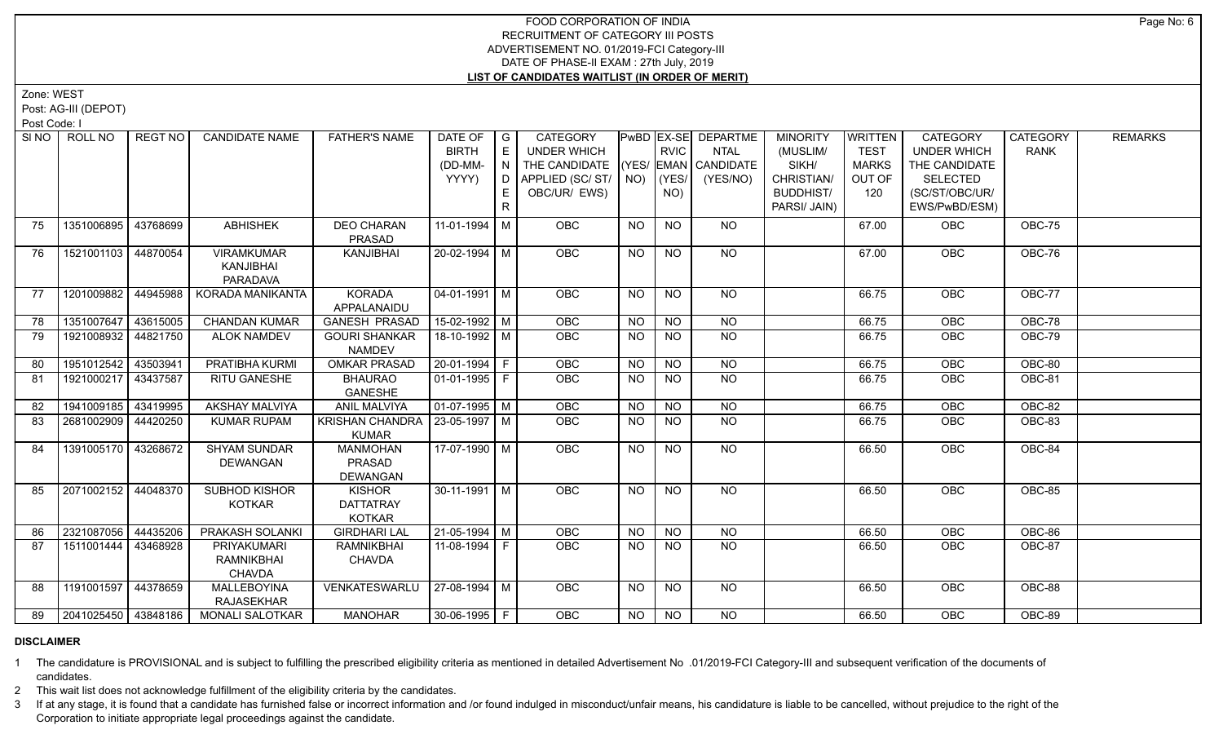Zone: WEST

Post: AG-III (DEPOT)

Post Code: I

| SI NO | ROLL NO             | REGT NO  | <b>CANDIDATE NAME</b>  | <b>FATHER'S NAME</b>             | DATE OF<br><b>BIRTH</b> | $\overline{G}$<br>, E '           | <b>CATEGORY</b><br><b>UNDER WHICH</b>  |           | <b>RVIC</b>     | PwBD   EX-SE   DEPARTME<br>NTAL | <b>MINORITY</b><br>(MUSLIM/ | WRITTEN<br><b>TEST</b> | <b>CATEGORY</b><br><b>UNDER WHICH</b> | <b>CATEGORY</b><br><b>RANK</b> | <b>REMARKS</b> |
|-------|---------------------|----------|------------------------|----------------------------------|-------------------------|-----------------------------------|----------------------------------------|-----------|-----------------|---------------------------------|-----------------------------|------------------------|---------------------------------------|--------------------------------|----------------|
|       |                     |          |                        |                                  |                         |                                   |                                        |           |                 |                                 |                             |                        |                                       |                                |                |
|       |                     |          |                        |                                  | (DD-MM-<br>YYYY)        | $\overline{N}$<br>ID <sub>1</sub> | THE CANDIDATE                          |           | (YES/           | (YES/ EMAN CANDIDATE            | SIKH/<br>CHRISTIAN/         | <b>MARKS</b><br>OUT OF | THE CANDIDATE<br><b>SELECTED</b>      |                                |                |
|       |                     |          |                        |                                  |                         |                                   | APPLIED (SC/ ST/   NO)<br>OBC/UR/ EWS) |           |                 | (YES/NO)                        | <b>BUDDHIST/</b>            | 120                    | (SC/ST/OBC/UR/                        |                                |                |
|       |                     |          |                        |                                  |                         | E                                 |                                        |           | NO)             |                                 |                             |                        |                                       |                                |                |
|       |                     |          |                        |                                  |                         | $\mathsf{R}$                      |                                        |           |                 |                                 | PARSI/ JAIN)                |                        | EWS/PwBD/ESM)                         |                                |                |
| 75    | 1351006895          | 43768699 | <b>ABHISHEK</b>        | <b>DEO CHARAN</b>                | 11-01-1994 M            |                                   | <b>OBC</b>                             | <b>NO</b> | <b>NO</b>       | NO                              |                             | 67.00                  | <b>OBC</b>                            | OBC-75                         |                |
|       |                     |          |                        | PRASAD                           |                         |                                   |                                        |           |                 |                                 |                             |                        |                                       |                                |                |
| 76    | 1521001103          | 44870054 | <b>VIRAMKUMAR</b>      | KANJIBHAI                        | 20-02-1994 M            |                                   | OBC                                    | <b>NO</b> | <b>NO</b>       | NO                              |                             | 67.00                  | OBC                                   | OBC-76                         |                |
|       |                     |          | KANJIBHAI              |                                  |                         |                                   |                                        |           |                 |                                 |                             |                        |                                       |                                |                |
|       |                     |          | <b>PARADAVA</b>        |                                  |                         |                                   |                                        |           |                 |                                 |                             |                        |                                       |                                |                |
| 77    | 1201009882          | 44945988 | KORADA MANIKANTA       | <b>KORADA</b>                    | 04-01-1991   M          |                                   | <b>OBC</b>                             | <b>NO</b> | <b>NO</b>       | NO                              |                             | 66.75                  | <b>OBC</b>                            | OBC-77                         |                |
|       |                     |          |                        | APPALANAIDU                      |                         |                                   |                                        |           |                 |                                 |                             |                        |                                       |                                |                |
| 78    | 1351007647          | 43615005 | <b>CHANDAN KUMAR</b>   | <b>GANESH PRASAD</b>             | $15-02-1992$ M          |                                   | OBC                                    | <b>NO</b> | <b>NO</b>       | <b>NO</b>                       |                             | 66.75                  | OBC                                   | OBC-78                         |                |
| 79    | 1921008932          | 44821750 | <b>ALOK NAMDEV</b>     | <b>GOURI SHANKAR</b>             | 18-10-1992 M            |                                   | <b>OBC</b>                             | <b>NO</b> | <b>NO</b>       | NO                              |                             | 66.75                  | OBC                                   | OBC-79                         |                |
|       |                     |          |                        | <b>NAMDEV</b>                    |                         |                                   |                                        |           |                 |                                 |                             |                        |                                       |                                |                |
| 80    | 1951012542          | 43503941 | PRATIBHA KURMI         | <b>OMKAR PRASAD</b>              | 20-01-1994 F            |                                   | <b>OBC</b>                             | NO.       | <b>NO</b>       | NO                              |                             | 66.75                  | <b>OBC</b>                            | OBC-80                         |                |
| 81    | 1921000217          | 43437587 | RITU GANESHE           | <b>BHAURAO</b>                   | 01-01-1995 F            |                                   | OBC                                    | <b>NO</b> | $\overline{NO}$ | $\overline{NO}$                 |                             | 66.75                  | OBC                                   | OBC-81                         |                |
|       |                     |          |                        | GANESHE                          |                         |                                   |                                        |           |                 |                                 |                             |                        |                                       |                                |                |
| 82    | 1941009185          | 43419995 | <b>AKSHAY MALVIYA</b>  | <b>ANIL MALVIYA</b>              | $\sqrt{01-07-1995}$ M   |                                   | OBC                                    | <b>NO</b> | N <sub>O</sub>  | N <sub>O</sub>                  |                             | 66.75                  | OBC                                   | <b>OBC-82</b>                  |                |
| 83    | 2681002909          | 44420250 | <b>KUMAR RUPAM</b>     | KRISHAN CHANDRA   23-05-1997   M |                         |                                   | <b>OBC</b>                             | <b>NO</b> | <b>NO</b>       | N <sub>O</sub>                  |                             | 66.75                  | OBC                                   | <b>OBC-83</b>                  |                |
|       |                     |          |                        | <b>KUMAR</b>                     |                         |                                   |                                        |           |                 |                                 |                             |                        |                                       |                                |                |
| 84    | 1391005170          | 43268672 | <b>SHYAM SUNDAR</b>    | <b>MANMOHAN</b>                  | 17-07-1990 M            |                                   | OBC                                    | <b>NO</b> | <b>NO</b>       | NO                              |                             | 66.50                  | OBC                                   | OBC-84                         |                |
|       |                     |          | <b>DEWANGAN</b>        | PRASAD                           |                         |                                   |                                        |           |                 |                                 |                             |                        |                                       |                                |                |
| 85    | 2071002152 44048370 |          | SUBHOD KISHOR          | <b>DEWANGAN</b><br><b>KISHOR</b> | $30-11-1991$ M          |                                   | <b>OBC</b>                             | <b>NO</b> | <b>NO</b>       | NO                              |                             | 66.50                  | OBC                                   | OBC-85                         |                |
|       |                     |          | <b>KOTKAR</b>          | <b>DATTATRAY</b>                 |                         |                                   |                                        |           |                 |                                 |                             |                        |                                       |                                |                |
|       |                     |          |                        | <b>KOTKAR</b>                    |                         |                                   |                                        |           |                 |                                 |                             |                        |                                       |                                |                |
| 86    | 2321087056          | 44435206 | PRAKASH SOLANKI        | <b>GIRDHARI LAL</b>              | $21-05-1994$ M          |                                   | <b>OBC</b>                             | <b>NO</b> | <b>NO</b>       | NO                              |                             | 66.50                  | OBC                                   | OBC-86                         |                |
| 87    | 1511001444          | 43468928 | PRIYAKUMARI            | <b>RAMNIKBHAI</b>                | 11-08-1994 F            |                                   | <b>OBC</b>                             | <b>NO</b> | <b>NO</b>       | <b>NO</b>                       |                             | 66.50                  | OBC                                   | OBC-87                         |                |
|       |                     |          | RAMNIKBHAI             | <b>CHAVDA</b>                    |                         |                                   |                                        |           |                 |                                 |                             |                        |                                       |                                |                |
|       |                     |          | <b>CHAVDA</b>          |                                  |                         |                                   |                                        |           |                 |                                 |                             |                        |                                       |                                |                |
| 88    | 1191001597          | 44378659 | <b>MALLEBOYINA</b>     | VENKATESWARLU                    | 27-08-1994 M            |                                   | <b>OBC</b>                             | NO.       | <b>NO</b>       | NO.                             |                             | 66.50                  | <b>OBC</b>                            | OBC-88                         |                |
|       |                     |          | <b>RAJASEKHAR</b>      |                                  |                         |                                   |                                        |           |                 |                                 |                             |                        |                                       |                                |                |
| 89    | 2041025450 43848186 |          | <b>MONALI SALOTKAR</b> | <b>MANOHAR</b>                   | 30-06-1995 F            |                                   | <b>OBC</b>                             | NO.       | NO.             | NO                              |                             | 66.50                  | <b>OBC</b>                            | OBC-89                         |                |
|       |                     |          |                        |                                  |                         |                                   |                                        |           |                 |                                 |                             |                        |                                       |                                |                |

#### **DISCLAIMER**

1 The candidature is PROVISIONAL and is subject to fulfilling the prescribed eligibility criteria as mentioned in detailed Advertisement No .01/2019-FCI Category-III and subsequent verification of the documents of candidates.

2 This wait list does not acknowledge fulfillment of the eligibility criteria by the candidates.

3 If at any stage, it is found that a candidate has furnished false or incorrect information and /or found indulged in misconduct/unfair means, his candidature is liable to be cancelled, without prejudice to the right of t Corporation to initiate appropriate legal proceedings against the candidate.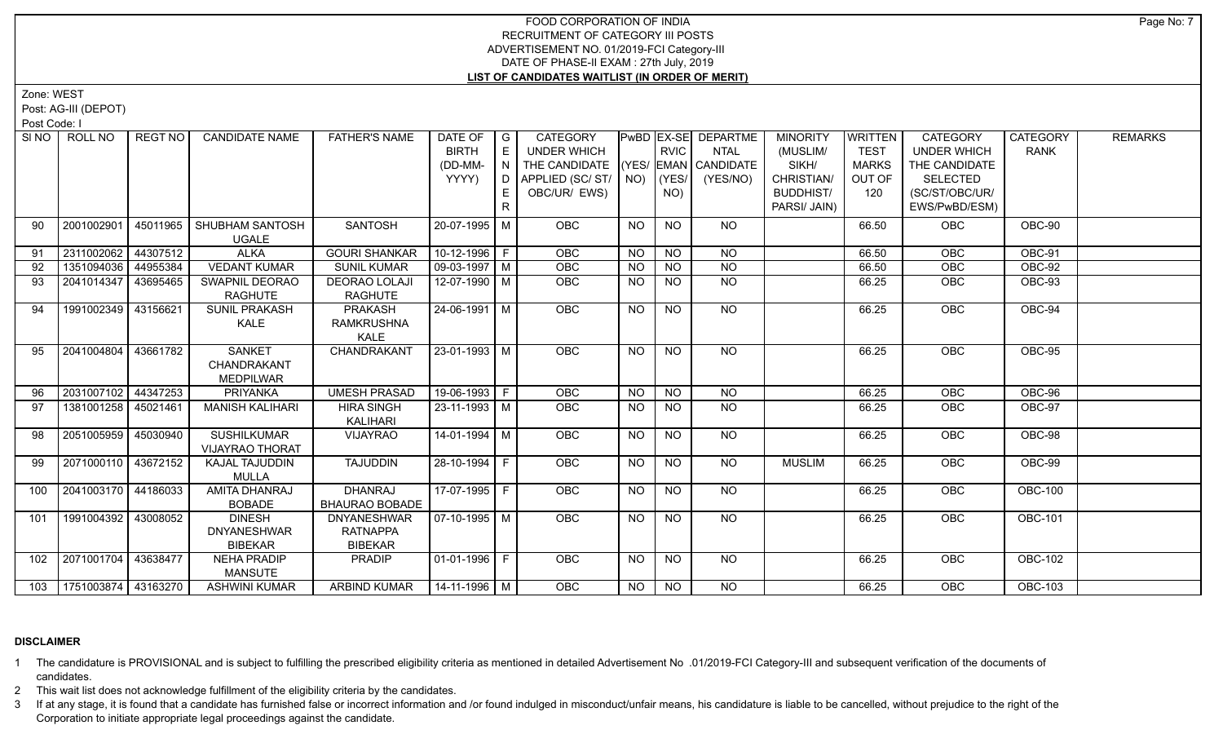Zone: WEST

Post: AG-III (DEPOT)

Post Code: I

| SI NO | ROLL NO                     | <b>REGT NO</b> | <b>CANDIDATE NAME</b>  | <b>FATHER'S NAME</b>  | DATE OF                | $\overline{\phantom{a}}$ | <b>CATEGORY</b>            |           |             | PwBD EX-SE DEPARTME    | <b>MINORITY</b>  | WRITTEN      | <b>CATEGORY</b>    | <b>CATEGORY</b> | <b>REMARKS</b> |
|-------|-----------------------------|----------------|------------------------|-----------------------|------------------------|--------------------------|----------------------------|-----------|-------------|------------------------|------------------|--------------|--------------------|-----------------|----------------|
|       |                             |                |                        |                       | <b>BIRTH</b>           | $\mathsf E$              | <b>UNDER WHICH</b>         |           | <b>RVIC</b> | <b>NTAL</b>            | (MUSLIM/         | <b>TEST</b>  | <b>UNDER WHICH</b> | <b>RANK</b>     |                |
|       |                             |                |                        |                       | (DD-MM-                | IN.                      | THE CANDIDATE              |           |             | $(YES/EMAN)$ CANDIDATE | SIKH/            | <b>MARKS</b> | THE CANDIDATE      |                 |                |
|       |                             |                |                        |                       | YYYY)                  |                          | D   APPLIED (SC/ ST/   NO) |           | $ $ (YES/   | (YES/NO)               | CHRISTIAN/       | OUT OF       | SELECTED           |                 |                |
|       |                             |                |                        |                       |                        |                          | OBC/UR/ EWS)               |           | NO)         |                        | <b>BUDDHIST/</b> | 120          | (SC/ST/OBC/UR/     |                 |                |
|       |                             |                |                        |                       |                        | R                        |                            |           |             |                        | PARSI/ JAIN)     |              | EWS/PwBD/ESM)      |                 |                |
| 90    | 2001002901                  | 45011965       | SHUBHAM SANTOSH        | SANTOSH               | 20-07-1995 M           |                          | OBC                        | <b>NO</b> | <b>NO</b>   | <b>NO</b>              |                  | 66.50        | <b>OBC</b>         | OBC-90          |                |
|       |                             |                | <b>UGALE</b>           |                       |                        |                          |                            |           |             |                        |                  |              |                    |                 |                |
| 91    | 2311002062                  | 44307512       | <b>ALKA</b>            | <b>GOURI SHANKAR</b>  | $10-12-1996$ F         |                          | <b>OBC</b>                 | <b>NO</b> | <b>NO</b>   | <b>NO</b>              |                  | 66.50        | OBC                | OBC-91          |                |
| 92    | 1351094036                  | 44955384       | <b>VEDANT KUMAR</b>    | <b>SUNIL KUMAR</b>    | $\boxed{09-03-1997}$ M |                          | OBC                        | <b>NO</b> | <b>NO</b>   | <b>NO</b>              |                  | 66.50        | OBC                | OBC-92          |                |
| 93    | 2041014347                  | 43695465       | SWAPNIL DEORAO         | <b>DEORAO LOLAJI</b>  | 12-07-1990   M         |                          | OBC                        | <b>NO</b> | <b>NO</b>   | <b>NO</b>              |                  | 66.25        | <b>OBC</b>         | OBC-93          |                |
|       |                             |                | <b>RAGHUTE</b>         | <b>RAGHUTE</b>        |                        |                          |                            |           |             |                        |                  |              |                    |                 |                |
| 94    | 1991002349 43156621         |                | <b>SUNIL PRAKASH</b>   | <b>PRAKASH</b>        | $24 - 06 - 1991$ M     |                          | OBC                        | NO        | NO.         | $\overline{NO}$        |                  | 66.25        | OBC                | OBC-94          |                |
|       |                             |                | KALE                   | <b>RAMKRUSHNA</b>     |                        |                          |                            |           |             |                        |                  |              |                    |                 |                |
|       |                             |                |                        | <b>KALE</b>           |                        |                          |                            |           |             |                        |                  |              |                    |                 |                |
| 95    | 2041004804                  | 43661782       | <b>SANKET</b>          | CHANDRAKANT           | 23-01-1993 M           |                          | OBC                        | <b>NO</b> | <b>NO</b>   | <b>NO</b>              |                  | 66.25        | OBC                | OBC-95          |                |
|       |                             |                | CHANDRAKANT            |                       |                        |                          |                            |           |             |                        |                  |              |                    |                 |                |
|       |                             |                | <b>MEDPILWAR</b>       |                       |                        |                          |                            |           |             |                        |                  |              |                    |                 |                |
| 96    | 2031007102 44347253         |                | <b>PRIYANKA</b>        | <b>UMESH PRASAD</b>   | 19-06-1993 F           |                          | OBC                        | <b>NO</b> | <b>NO</b>   | <b>NO</b>              |                  | 66.25        | OBC                | OBC-96          |                |
| 97    | 1381001258 45021461         |                | <b>MANISH KALIHARI</b> | <b>HIRA SINGH</b>     | 23-11-1993   M         |                          | <b>OBC</b>                 | <b>NO</b> | <b>NO</b>   | <b>NO</b>              |                  | 66.25        | OBC                | OBC-97          |                |
|       |                             |                |                        | KALIHARI              |                        |                          |                            |           |             |                        |                  |              |                    |                 |                |
| 98    | 2051005959 45030940         |                | <b>SUSHILKUMAR</b>     | VIJAYRAO              | 14-01-1994 M           |                          | <b>OBC</b>                 | <b>NO</b> | <b>NO</b>   | <b>NO</b>              |                  | 66.25        | OBC                | OBC-98          |                |
|       |                             |                | <b>VIJAYRAO THORAT</b> |                       |                        |                          |                            |           |             |                        |                  |              |                    |                 |                |
| 99    | 2071000110 43672152         |                | <b>KAJAL TAJUDDIN</b>  | <b>TAJUDDIN</b>       | $28 - 10 - 1994$ F     |                          | OBC                        | NO.       | <b>NO</b>   | NO                     | <b>MUSLIM</b>    | 66.25        | <b>OBC</b>         | <b>OBC-99</b>   |                |
|       |                             |                | <b>MULLA</b>           |                       |                        |                          |                            |           |             |                        |                  |              |                    |                 |                |
| 100   | 2041003170 44186033         |                | <b>AMITA DHANRAJ</b>   | <b>DHANRAJ</b>        | 17-07-1995 F           |                          | OBC                        | <b>NO</b> | <b>NO</b>   | <b>NO</b>              |                  | 66.25        | OBC                | <b>OBC-100</b>  |                |
|       |                             |                | <b>BOBADE</b>          | <b>BHAURAO BOBADE</b> |                        |                          |                            |           |             |                        |                  |              |                    |                 |                |
| 101   | 1991004392 43008052         |                | <b>DINESH</b>          | <b>DNYANESHWAR</b>    | 07-10-1995   M         |                          | OBC                        | <b>NO</b> | <b>NO</b>   | NO                     |                  | 66.25        | OBC                | <b>OBC-101</b>  |                |
|       |                             |                | <b>DNYANESHWAR</b>     | <b>RATNAPPA</b>       |                        |                          |                            |           |             |                        |                  |              |                    |                 |                |
|       |                             |                | <b>BIBEKAR</b>         | <b>BIBEKAR</b>        |                        |                          |                            |           |             |                        |                  |              |                    |                 |                |
| 102   | 2071001704 43638477         |                | <b>NEHA PRADIP</b>     | <b>PRADIP</b>         | 01-01-1996   F         |                          | OBC                        | NO.       | <b>NO</b>   | NO                     |                  | 66.25        | OBC                | <b>OBC-102</b>  |                |
|       |                             |                | MANSUTE                |                       |                        |                          |                            |           |             |                        |                  |              |                    |                 |                |
|       | 103   1751003874   43163270 |                | <b>ASHWINI KUMAR</b>   | <b>ARBIND KUMAR</b>   | $14 - 11 - 1996$ M     |                          | OBC                        | <b>NO</b> | <b>NO</b>   | $N$ O                  |                  | 66.25        | OBC                | <b>OBC-103</b>  |                |

#### **DISCLAIMER**

1 The candidature is PROVISIONAL and is subject to fulfilling the prescribed eligibility criteria as mentioned in detailed Advertisement No .01/2019-FCI Category-III and subsequent verification of the documents of candidates.

2 This wait list does not acknowledge fulfillment of the eligibility criteria by the candidates.

3 If at any stage, it is found that a candidate has furnished false or incorrect information and /or found indulged in misconduct/unfair means, his candidature is liable to be cancelled, without prejudice to the right of t Corporation to initiate appropriate legal proceedings against the candidate.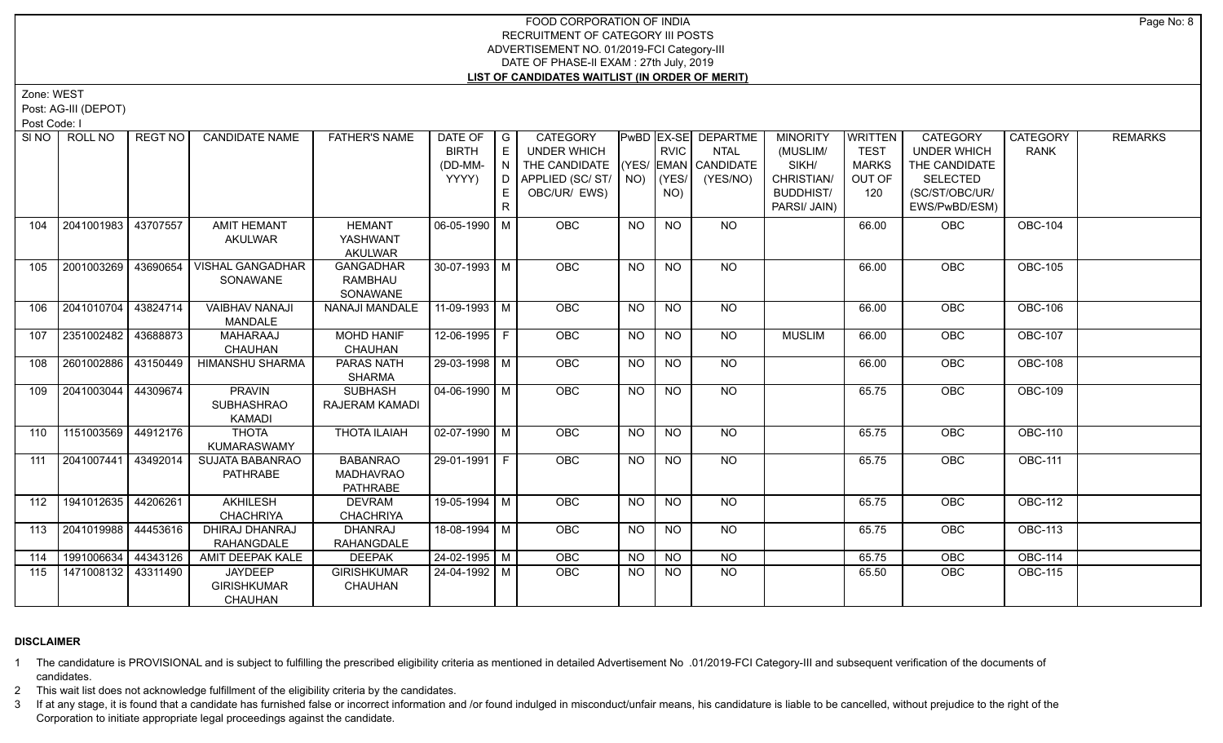Zone: WEST

Post: AG-III (DEPOT)

Post Code: I

| SI NO | ROLL NO               | REGT NO  | <b>CANDIDATE NAME</b>   | <b>FATHER'S NAME</b> | DATE OF            | $\overline{\phantom{a}}$ G | <b>CATEGORY</b>                    |                 |                 | PwBD EX-SE DEPARTME | <b>MINORITY</b>  | <b>WRITTEN</b> | <b>CATEGORY</b>    | <b>CATEGORY</b> | <b>REMARKS</b> |
|-------|-----------------------|----------|-------------------------|----------------------|--------------------|----------------------------|------------------------------------|-----------------|-----------------|---------------------|------------------|----------------|--------------------|-----------------|----------------|
|       |                       |          |                         |                      | <b>BIRTH</b>       | E                          | UNDER WHICH                        |                 | <b>RVIC</b>     | <b>NTAL</b>         | (MUSLIM/         | <b>TEST</b>    | <b>UNDER WHICH</b> | <b>RANK</b>     |                |
|       |                       |          |                         |                      | (DD-MM-            | N                          | THE CANDIDATE (YES/ EMAN CANDIDATE |                 |                 |                     | SIKH/            | <b>MARKS</b>   | THE CANDIDATE      |                 |                |
|       |                       |          |                         |                      | YYYY)              | D.                         | APPLIED (SC/ ST/   NO)             |                 | (YES/           | (YES/NO)            | CHRISTIAN/       | OUT OF         | <b>SELECTED</b>    |                 |                |
|       |                       |          |                         |                      |                    |                            | OBC/UR/ EWS)                       |                 | NO)             |                     | <b>BUDDHIST/</b> | 120            | (SC/ST/OBC/UR/     |                 |                |
|       |                       |          |                         |                      |                    |                            |                                    |                 |                 |                     | PARSI/ JAIN)     |                | EWS/PwBD/ESM)      |                 |                |
| 104   | 2041001983 43707557   |          | <b>AMIT HEMANT</b>      | <b>HEMANT</b>        | 06-05-1990 M       |                            | OBC                                | <b>NO</b>       | <b>NO</b>       | NO                  |                  | 66.00          | OBC                | <b>OBC-104</b>  |                |
|       |                       |          | <b>AKULWAR</b>          | YASHWANT             |                    |                            |                                    |                 |                 |                     |                  |                |                    |                 |                |
|       |                       |          |                         | <b>AKULWAR</b>       |                    |                            |                                    |                 |                 |                     |                  |                |                    |                 |                |
| 105   | 2001003269 43690654   |          | <b>VISHAL GANGADHAR</b> | <b>GANGADHAR</b>     | $30-07-1993$ M     |                            | OBC                                | <b>NO</b>       | $N$ O           | $N$ <sup>O</sup>    |                  | 66.00          | OBC                | <b>OBC-105</b>  |                |
|       |                       |          | SONAWANE                | <b>RAMBHAU</b>       |                    |                            |                                    |                 |                 |                     |                  |                |                    |                 |                |
|       |                       |          |                         | SONAWANE             |                    |                            |                                    |                 |                 |                     |                  |                |                    |                 |                |
| 106   | 2041010704 43824714   |          | <b>VAIBHAV NANAJI</b>   | NANAJI MANDALE       | 11-09-1993 M       |                            | OBC                                | $\overline{NO}$ | $\overline{NQ}$ | N <sub>O</sub>      |                  | 66.00          | OBC                | <b>OBC-106</b>  |                |
|       |                       |          | <b>MANDALE</b>          |                      |                    |                            |                                    |                 |                 |                     |                  |                |                    |                 |                |
| 107   | 2351002482   43688873 |          | <b>MAHARAAJ</b>         | <b>MOHD HANIF</b>    | 12-06-1995   F     |                            | OBC                                | <b>NO</b>       | <b>NO</b>       | NO.                 | <b>MUSLIM</b>    | 66.00          | <b>OBC</b>         | <b>OBC-107</b>  |                |
|       |                       |          | <b>CHAUHAN</b>          | <b>CHAUHAN</b>       |                    |                            |                                    |                 |                 |                     |                  |                |                    |                 |                |
| 108   | 2601002886 43150449   |          | HIMANSHU SHARMA         | PARAS NATH           | 29-03-1998 M       |                            | <b>OBC</b>                         | NO.             | <b>NO</b>       | NO                  |                  | 66.00          | OBC                | <b>OBC-108</b>  |                |
|       |                       |          |                         | <b>SHARMA</b>        |                    |                            |                                    |                 |                 |                     |                  |                |                    |                 |                |
| 109   | 2041003044 44309674   |          | <b>PRAVIN</b>           | <b>SUBHASH</b>       | $04 - 06 - 1990$ M |                            | OBC                                | <b>NO</b>       | <b>NO</b>       | <b>NO</b>           |                  | 65.75          | <b>OBC</b>         | <b>OBC-109</b>  |                |
|       |                       |          | <b>SUBHASHRAO</b>       | RAJERAM KAMADI       |                    |                            |                                    |                 |                 |                     |                  |                |                    |                 |                |
|       |                       |          | <b>KAMADI</b>           |                      |                    |                            |                                    |                 |                 |                     |                  |                |                    |                 |                |
| 110   | 1151003569 44912176   |          | <b>THOTA</b>            | <b>THOTA ILAIAH</b>  | 02-07-1990 M       |                            | <b>OBC</b>                         | <b>NO</b>       | NO              | NO                  |                  | 65.75          | <b>OBC</b>         | <b>OBC-110</b>  |                |
|       |                       |          | <b>KUMARASWAMY</b>      |                      |                    |                            |                                    |                 |                 |                     |                  |                |                    |                 |                |
| 111   | 2041007441 43492014   |          | <b>SUJATA BABANRAO</b>  | <b>BABANRAO</b>      | 29-01-1991 F       |                            | <b>OBC</b>                         | <b>NO</b>       | <b>NO</b>       | <b>NO</b>           |                  | 65.75          | <b>OBC</b>         | <b>OBC-111</b>  |                |
|       |                       |          | <b>PATHRABE</b>         | <b>MADHAVRAO</b>     |                    |                            |                                    |                 |                 |                     |                  |                |                    |                 |                |
|       |                       |          |                         | <b>PATHRABE</b>      |                    |                            |                                    |                 |                 |                     |                  |                |                    |                 |                |
| 112   | 1941012635 44206261   |          | AKHILESH                | <b>DEVRAM</b>        | 19-05-1994 M       |                            | OBC                                | <b>NO</b>       | <b>NO</b>       | NO.                 |                  | 65.75          | OBC                | <b>OBC-112</b>  |                |
|       |                       |          | <b>CHACHRIYA</b>        | <b>CHACHRIYA</b>     |                    |                            |                                    |                 |                 |                     |                  |                |                    |                 |                |
| 113   | 2041019988 44453616   |          | DHIRAJ DHANRAJ          | <b>DHANRAJ</b>       | 18-08-1994 M       |                            | <b>OBC</b>                         | <b>NO</b>       | <b>NO</b>       | <b>NO</b>           |                  | 65.75          | OBC                | <b>OBC-113</b>  |                |
|       |                       |          | RAHANGDALE              | RAHANGDALE           |                    |                            |                                    |                 |                 |                     |                  |                |                    |                 |                |
| 114   | 1991006634            | 44343126 | AMIT DEEPAK KALE        | <b>DEEPAK</b>        | 24-02-1995 M       |                            | OBC                                | <b>NO</b>       | <b>NO</b>       | $\overline{NO}$     |                  | 65.75          | OBC                | <b>OBC-114</b>  |                |
| 115   | 1471008132 43311490   |          | <b>JAYDEEP</b>          | <b>GIRISHKUMAR</b>   | 24-04-1992   M     |                            | <b>OBC</b>                         | <b>NO</b>       | NO              | NO                  |                  | 65.50          | <b>OBC</b>         | <b>OBC-115</b>  |                |
|       |                       |          | <b>GIRISHKUMAR</b>      | <b>CHAUHAN</b>       |                    |                            |                                    |                 |                 |                     |                  |                |                    |                 |                |
|       |                       |          | <b>CHAUHAN</b>          |                      |                    |                            |                                    |                 |                 |                     |                  |                |                    |                 |                |

## **DISCLAIMER**

1 The candidature is PROVISIONAL and is subject to fulfilling the prescribed eligibility criteria as mentioned in detailed Advertisement No .01/2019-FCI Category-III and subsequent verification of the documents of candidates.

2 This wait list does not acknowledge fulfillment of the eligibility criteria by the candidates.

3 If at any stage, it is found that a candidate has furnished false or incorrect information and /or found indulged in misconduct/unfair means, his candidature is liable to be cancelled, without prejudice to the right of t Corporation to initiate appropriate legal proceedings against the candidate.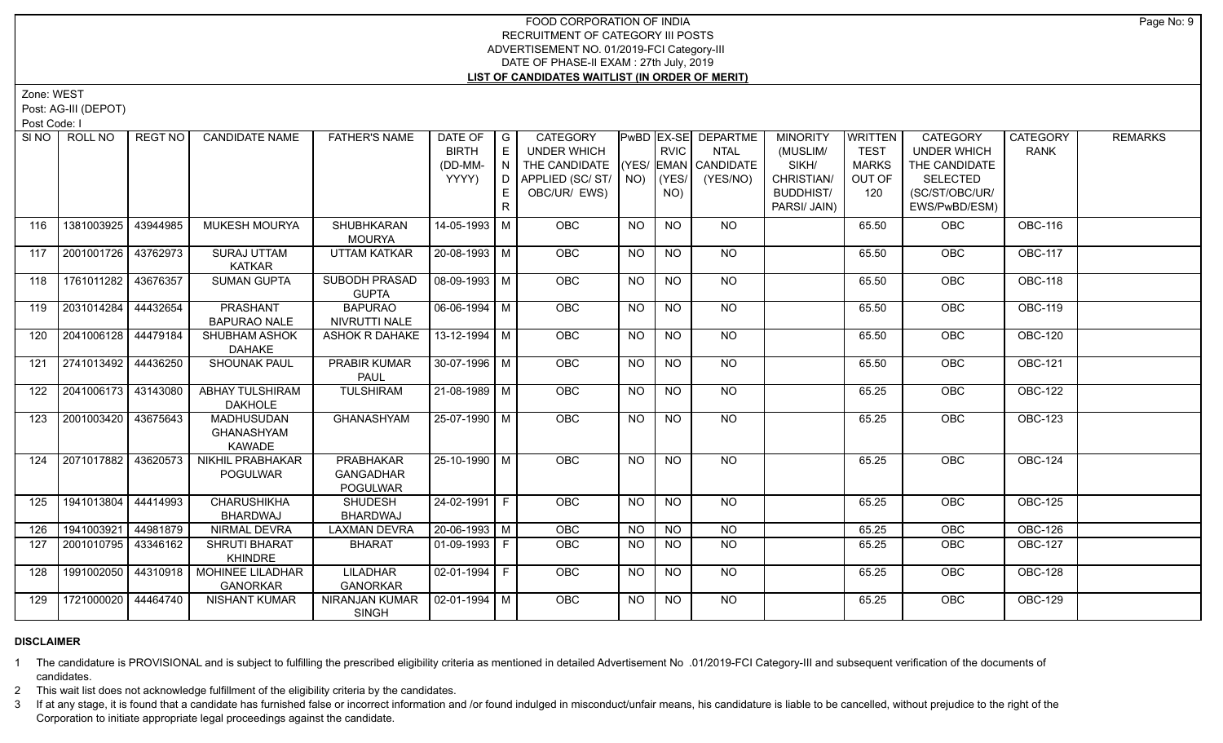Zone: WEST

Post: AG-III (DEPOT)

Post Code: I

|     | SINO   ROLL NO      | REGT NO  | <b>CANDIDATE NAME</b>                                   | <b>FATHER'S NAME</b>                                    | DATE OF<br><b>BIRTH</b> | $\overline{G}$<br>E | <b>CATEGORY</b><br><b>UNDER WHICH</b> |                | <b>RVIC</b>     | <b>PwBD EX-SE DEPARTME</b><br><b>NTAL</b> | <b>MINORITY</b><br>(MUSLIM/ | <b>WRITTEN</b><br><b>TEST</b> | <b>CATEGORY</b><br><b>UNDER WHICH</b> | <b>CATEGORY</b><br><b>RANK</b> | <b>REMARKS</b> |
|-----|---------------------|----------|---------------------------------------------------------|---------------------------------------------------------|-------------------------|---------------------|---------------------------------------|----------------|-----------------|-------------------------------------------|-----------------------------|-------------------------------|---------------------------------------|--------------------------------|----------------|
|     |                     |          |                                                         |                                                         | (DD-MM-                 | $\overline{N}$      | THE CANDIDATE                         |                |                 | (YES/ EMAN CANDIDATE                      | SIKH/                       | <b>MARKS</b>                  | THE CANDIDATE                         |                                |                |
|     |                     |          |                                                         |                                                         | YYYY)                   | D                   | APPLIED (SC/ST/                       |                | $NO)$ $ (YES/$  | (YES/NO)                                  | CHRISTIAN/                  | OUT OF                        | <b>SELECTED</b>                       |                                |                |
|     |                     |          |                                                         |                                                         |                         | E.                  | OBC/UR/ EWS)                          |                | NO)             |                                           | <b>BUDDHIST/</b>            | 120                           | (SC/ST/OBC/UR/                        |                                |                |
|     |                     |          |                                                         |                                                         |                         | R                   |                                       |                |                 |                                           | PARSI/ JAIN)                |                               | EWS/PwBD/ESM)                         |                                |                |
| 116 | 1381003925          | 43944985 | MUKESH MOURYA                                           | SHUBHKARAN<br><b>MOURYA</b>                             | 14-05-1993 M            |                     | OBC                                   | <b>NO</b>      | <b>NO</b>       | <b>NO</b>                                 |                             | 65.50                         | OBC                                   | <b>OBC-116</b>                 |                |
| 117 | 2001001726 43762973 |          | <b>SURAJ UTTAM</b><br><b>KATKAR</b>                     | <b>UTTAM KATKAR</b>                                     | 20-08-1993 M            |                     | <b>OBC</b>                            | NO             | <b>NO</b>       | NO                                        |                             | 65.50                         | <b>OBC</b>                            | <b>OBC-117</b>                 |                |
| 118 | 1761011282          | 43676357 | <b>SUMAN GUPTA</b>                                      | <b>SUBODH PRASAD</b><br><b>GUPTA</b>                    | 08-09-1993 M            |                     | <b>OBC</b>                            | NO.            | <b>NO</b>       | <b>NO</b>                                 |                             | 65.50                         | <b>OBC</b>                            | <b>OBC-118</b>                 |                |
| 119 | 2031014284 44432654 |          | <b>PRASHANT</b><br><b>BAPURAO NALE</b>                  | <b>BAPURAO</b><br>NIVRUTTI NALE                         | $06 - 06 - 1994$ M      |                     | OBC                                   | N <sub>O</sub> | N <sub>O</sub>  | N <sub>O</sub>                            |                             | 65.50                         | OBC                                   | <b>OBC-119</b>                 |                |
| 120 | 2041006128          | 44479184 | SHUBHAM ASHOK<br><b>DAHAKE</b>                          | ASHOK R DAHAKE                                          | 13-12-1994 M            |                     | OBC                                   | <b>NO</b>      | N <sub>O</sub>  | $N$ O                                     |                             | 65.50                         | OBC                                   | <b>OBC-120</b>                 |                |
| 121 | 2741013492 44436250 |          | <b>SHOUNAK PAUL</b>                                     | <b>PRABIR KUMAR</b><br><b>PAUL</b>                      | 30-07-1996 M            |                     | <b>OBC</b>                            | NO             | N <sub>O</sub>  | NO.                                       |                             | 65.50                         | <b>OBC</b>                            | <b>OBC-121</b>                 |                |
| 122 | 2041006173 43143080 |          | <b>ABHAY TULSHIRAM</b><br><b>DAKHOLE</b>                | <b>TULSHIRAM</b>                                        | 21-08-1989 M            |                     | <b>OBC</b>                            | NO             | <b>NO</b>       | NO                                        |                             | 65.25                         | <b>OBC</b>                            | <b>OBC-122</b>                 |                |
| 123 | 2001003420 43675643 |          | <b>MADHUSUDAN</b><br><b>GHANASHYAM</b><br><b>KAWADE</b> | <b>GHANASHYAM</b>                                       | 25-07-1990 M            |                     | OBC                                   | <b>NO</b>      | $\overline{NO}$ | $\overline{NQ}$                           |                             | 65.25                         | OBC                                   | <b>OBC-123</b>                 |                |
| 124 | 2071017882          | 43620573 | <b>NIKHIL PRABHAKAR</b><br><b>POGULWAR</b>              | <b>PRABHAKAR</b><br><b>GANGADHAR</b><br><b>POGULWAR</b> | 25-10-1990 M            |                     | OBC                                   | <b>NO</b>      | <b>NO</b>       | <b>NO</b>                                 |                             | 65.25                         | OBC                                   | <b>OBC-124</b>                 |                |
| 125 | 1941013804          | 44414993 | <b>CHARUSHIKHA</b><br><b>BHARDWAJ</b>                   | <b>SHUDESH</b><br>BHARDWAJ                              | 24-02-1991 F            |                     | <b>OBC</b>                            | NO             | <b>NO</b>       | NO                                        |                             | 65.25                         | OBC                                   | <b>OBC-125</b>                 |                |
| 126 | 1941003921          | 44981879 | NIRMAL DEVRA                                            | <b>LAXMAN DEVRA</b>                                     | $20-06-1993$ M          |                     | OBC                                   | <b>NO</b>      | <b>NO</b>       | <b>NO</b>                                 |                             | 65.25                         | <b>OBC</b>                            | <b>OBC-126</b>                 |                |
| 127 | 2001010795          | 43346162 | <b>SHRUTI BHARAT</b><br><b>KHINDRE</b>                  | <b>BHARAT</b>                                           | $01-09-1993$ F          |                     | <b>OBC</b>                            | NO.            | <b>NO</b>       | <b>NO</b>                                 |                             | 65.25                         | <b>OBC</b>                            | <b>OBC-127</b>                 |                |
| 128 | 1991002050          | 44310918 | <b>MOHINEE LILADHAR</b><br><b>GANORKAR</b>              | LILADHAR<br><b>GANORKAR</b>                             | $02-01-1994$ F          |                     | <b>OBC</b>                            | <b>NO</b>      | <b>NO</b>       | NO.                                       |                             | 65.25                         | <b>OBC</b>                            | <b>OBC-128</b>                 |                |
| 129 | 1721000020          | 44464740 | <b>NISHANT KUMAR</b>                                    | NIRANJAN KUMAR<br>SINGH                                 | $02-01-1994$ M          |                     | OBC                                   | NO.            | NO.             | NO                                        |                             | 65.25                         | <b>OBC</b>                            | <b>OBC-129</b>                 |                |

#### **DISCLAIMER**

1 The candidature is PROVISIONAL and is subject to fulfilling the prescribed eligibility criteria as mentioned in detailed Advertisement No .01/2019-FCI Category-III and subsequent verification of the documents of candidates.

2 This wait list does not acknowledge fulfillment of the eligibility criteria by the candidates.

3 If at any stage, it is found that a candidate has furnished false or incorrect information and /or found indulged in misconduct/unfair means, his candidature is liable to be cancelled, without prejudice to the right of t Corporation to initiate appropriate legal proceedings against the candidate.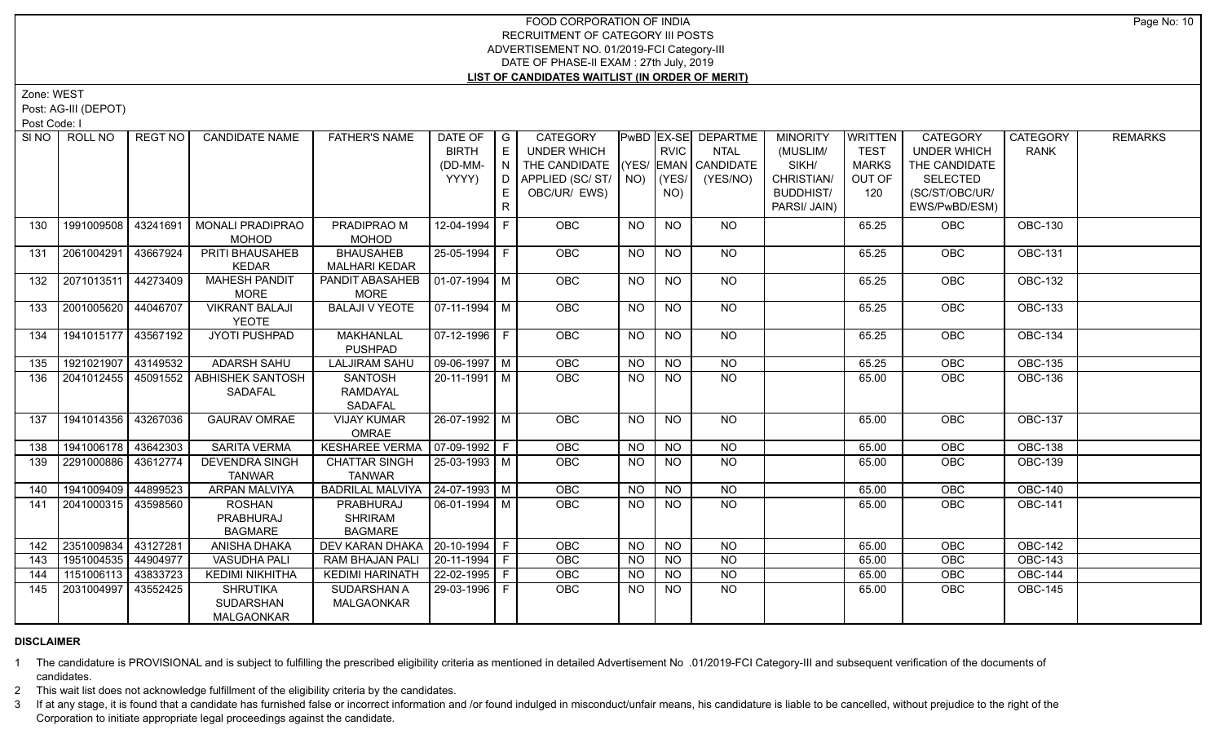Zone: WEST

Post: AG-III (DEPOT)

Post Code: I

|     | SINO   ROLL NO        | REGT NO  | <b>CANDIDATE NAME</b>   | <b>FATHER'S NAME</b>              | DATE OF        | $\overline{G}$ | CATEGORY        |                |                | PwBD EX-SE DEPARTME  | <b>MINORITY</b>  | <b>WRITTEN</b> | <b>CATEGORY</b>    | <b>CATEGORY</b> | <b>REMARKS</b> |
|-----|-----------------------|----------|-------------------------|-----------------------------------|----------------|----------------|-----------------|----------------|----------------|----------------------|------------------|----------------|--------------------|-----------------|----------------|
|     |                       |          |                         |                                   | <b>BIRTH</b>   | E              | UNDER WHICH     |                | RVIC           | <b>NTAL</b>          | (MUSLIM/         | <b>TEST</b>    | <b>UNDER WHICH</b> | <b>RANK</b>     |                |
|     |                       |          |                         |                                   | (DD-MM-        | N              | THE CANDIDATE   |                |                | (YES/ EMAN CANDIDATE | SIKH/            | <b>MARKS</b>   | THE CANDIDATE      |                 |                |
|     |                       |          |                         |                                   | YYYY)          | D.             | APPLIED (SC/ST/ | $NO)$ (YES/    |                | (YES/NO)             | CHRISTIAN/       | OUT OF         | <b>SELECTED</b>    |                 |                |
|     |                       |          |                         |                                   |                | E.             | OBC/UR/ EWS)    |                | NO)            |                      | <b>BUDDHIST/</b> | 120            | (SC/ST/OBC/UR/     |                 |                |
|     |                       |          |                         |                                   |                | R.             |                 |                |                |                      | PARSI/ JAIN)     |                | EWS/PwBD/ESM)      |                 |                |
| 130 | 1991009508            | 43241691 | <b>MONALI PRADIPRAO</b> | PRADIPRAO M                       | 12-04-1994     | IF.            | OBC             | NO             | <b>NO</b>      | NO.                  |                  | 65.25          | OBC                | <b>OBC-130</b>  |                |
|     |                       |          | <b>MOHOD</b>            | <b>MOHOD</b>                      |                |                |                 |                |                |                      |                  |                |                    |                 |                |
| 131 | 2061004291            | 43667924 | PRITI BHAUSAHEB         | <b>BHAUSAHEB</b>                  | 25-05-1994 F   |                | <b>OBC</b>      | <b>NO</b>      | <b>NO</b>      | NO                   |                  | 65.25          | <b>OBC</b>         | <b>OBC-131</b>  |                |
|     |                       |          | <b>KEDAR</b>            | MALHARI KEDAR                     |                |                |                 |                |                |                      |                  |                |                    |                 |                |
| 132 | 2071013511            | 44273409 | <b>MAHESH PANDIT</b>    | PANDIT ABASAHEB                   | $01-07-1994$ M |                | <b>OBC</b>      | NO             | <b>NO</b>      | $\overline{NQ}$      |                  | 65.25          | <b>OBC</b>         | <b>OBC-132</b>  |                |
|     |                       |          | <b>MORE</b>             | <b>MORE</b>                       |                |                |                 |                |                |                      |                  |                |                    |                 |                |
| 133 | 2001005620 44046707   |          | <b>VIKRANT BALAJI</b>   | <b>BALAJI V YEOTE</b>             | $07-11-1994$ M |                | <b>OBC</b>      | NO             | <b>NO</b>      | <b>NO</b>            |                  | 65.25          | <b>OBC</b>         | <b>OBC-133</b>  |                |
|     |                       |          | <b>YEOTE</b>            |                                   |                |                |                 |                |                |                      |                  |                |                    |                 |                |
| 134 | 1941015177 43567192   |          | JYOTI PUSHPAD           | <b>MAKHANLAL</b>                  | $07-12-1996$ F |                | OBC             | <b>NO</b>      | <b>NO</b>      | N <sub>O</sub>       |                  | 65.25          | OBC                | <b>OBC-134</b>  |                |
|     |                       |          |                         | PUSHPAD                           |                |                |                 |                |                |                      |                  |                |                    |                 |                |
| 135 | 1921021907            | 43149532 | <b>ADARSH SAHU</b>      | <b>LALJIRAM SAHU</b>              | 09-06-1997 M   |                | OBC             | <b>NO</b>      | NO             | $N$ O                |                  | 65.25          | OBC                | <b>OBC-135</b>  |                |
| 136 | 2041012455   45091552 |          | <b>ABHISHEK SANTOSH</b> | SANTOSH                           | $20-11-1991$ M |                | <b>OBC</b>      | <b>NO</b>      | <b>NO</b>      | NO                   |                  | 65.00          | <b>OBC</b>         | <b>OBC-136</b>  |                |
|     |                       |          | SADAFAL                 | <b>RAMDAYAL</b>                   |                |                |                 |                |                |                      |                  |                |                    |                 |                |
|     |                       |          |                         | SADAFAL                           |                |                |                 |                |                |                      |                  |                |                    |                 |                |
| 137 | 1941014356 43267036   |          | <b>GAURAV OMRAE</b>     | <b>VIJAY KUMAR</b>                | 26-07-1992 M   |                | OBC             | N <sub>O</sub> | N <sub>O</sub> | $N$ O                |                  | 65.00          | <b>OBC</b>         | <b>OBC-137</b>  |                |
|     |                       |          |                         | <b>OMRAE</b>                      |                |                |                 |                |                |                      |                  |                |                    |                 |                |
| 138 | 1941006178 43642303   |          | <b>SARITA VERMA</b>     | KESHAREE VERMA   07-09-1992   F   |                |                | <b>OBC</b>      | NO.            | <b>NO</b>      | <b>NO</b>            |                  | 65.00          | OBC                | <b>OBC-138</b>  |                |
| 139 | 2291000886 43612774   |          | <b>DEVENDRA SINGH</b>   | <b>CHATTAR SINGH</b>              | $25-03-1993$ M |                | OBC             | <b>NO</b>      | NO             | $N$ O                |                  | 65.00          | OBC                | <b>OBC-139</b>  |                |
|     |                       |          | <b>TANWAR</b>           | <b>TANWAR</b>                     |                |                |                 |                |                |                      |                  |                |                    |                 |                |
| 140 | 1941009409            | 44899523 | <b>ARPAN MALVIYA</b>    | BADRILAL MALVIYA   24-07-1993   M |                |                | OBC             | <b>NO</b>      | <b>NO</b>      | <b>NO</b>            |                  | 65.00          | <b>OBC</b>         | <b>OBC-140</b>  |                |
| 141 | 2041000315 43598560   |          | <b>ROSHAN</b>           | PRABHURAJ                         | 06-01-1994 M   |                | <b>OBC</b>      | <b>NO</b>      | <b>NO</b>      | <b>NO</b>            |                  | 65.00          | OBC                | <b>OBC-141</b>  |                |
|     |                       |          | PRABHURAJ               | <b>SHRIRAM</b>                    |                |                |                 |                |                |                      |                  |                |                    |                 |                |
|     |                       |          | <b>BAGMARE</b>          | <b>BAGMARE</b>                    |                |                |                 |                |                |                      |                  |                |                    |                 |                |
| 142 | 2351009834            | 43127281 | ANISHA DHAKA            | DEV KARAN DHAKA   20-10-1994   F  |                |                | <b>OBC</b>      | NO.            | <b>NO</b>      | <b>NO</b>            |                  | 65.00          | OBC                | <b>OBC-142</b>  |                |
| 143 | 1951004535 44904977   |          | <b>VASUDHA PALI</b>     | RAM BHAJAN PALI                   | $20-11-1994$ F |                | <b>OBC</b>      | <b>NO</b>      | <b>NO</b>      | $N$ O                |                  | 65.00          | OBC                | <b>OBC-143</b>  |                |
| 144 | 1151006113            | 43833723 | <b>KEDIMI NIKHITHA</b>  | <b>KEDIMI HARINATH</b>            | 22-02-1995 F   |                | <b>OBC</b>      | <b>NO</b>      | NO             | N <sub>O</sub>       |                  | 65.00          | OBC                | <b>OBC-144</b>  |                |
| 145 | 2031004997            | 43552425 | <b>SHRUTIKA</b>         | <b>SUDARSHAN A</b>                | 29-03-1996 F   |                | OBC             | <b>NO</b>      | NO.            | $N$ O                |                  | 65.00          | OBC                | <b>OBC-145</b>  |                |
|     |                       |          | <b>SUDARSHAN</b>        | <b>MALGAONKAR</b>                 |                |                |                 |                |                |                      |                  |                |                    |                 |                |
|     |                       |          | <b>MALGAONKAR</b>       |                                   |                |                |                 |                |                |                      |                  |                |                    |                 |                |

#### **DISCLAIMER**

1 The candidature is PROVISIONAL and is subject to fulfilling the prescribed eligibility criteria as mentioned in detailed Advertisement No .01/2019-FCI Category-III and subsequent verification of the documents of candidates.

2 This wait list does not acknowledge fulfillment of the eligibility criteria by the candidates.

3 If at any stage, it is found that a candidate has furnished false or incorrect information and /or found indulged in misconduct/unfair means, his candidature is liable to be cancelled, without prejudice to the right of t Corporation to initiate appropriate legal proceedings against the candidate.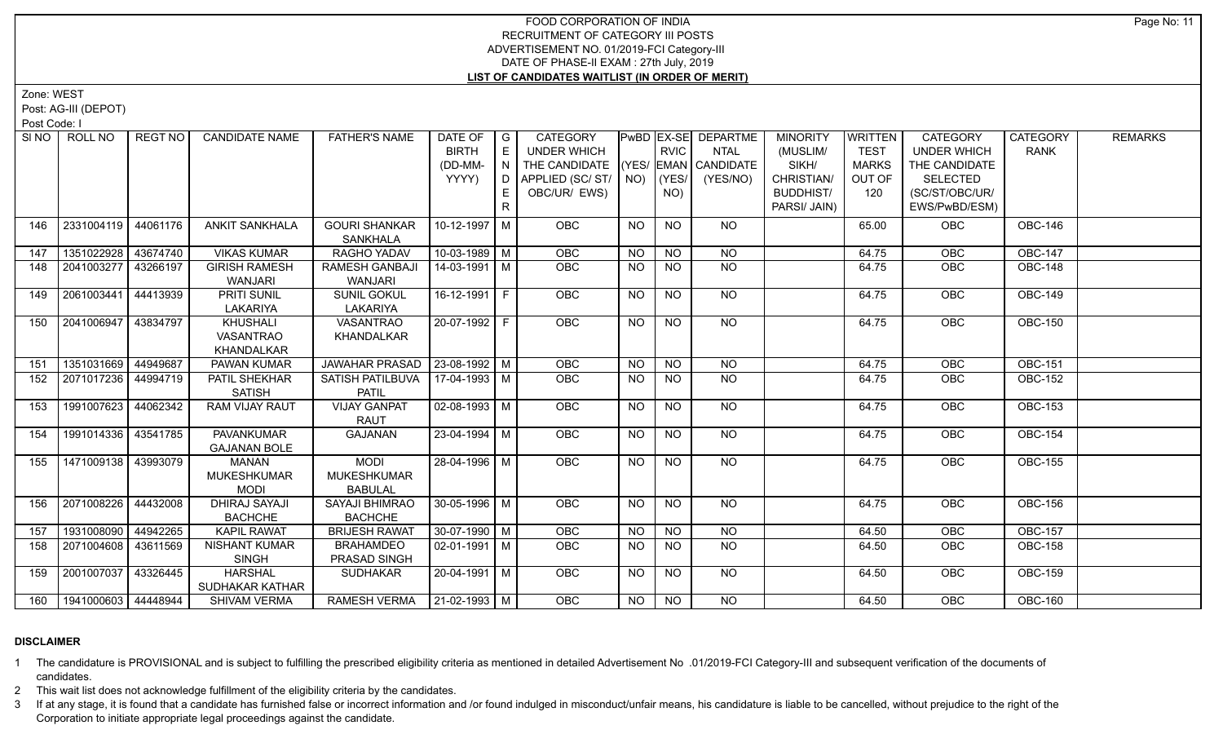Zone: WEST

Post: AG-III (DEPOT)

Post Code: I

|     | SINO   ROLL NO              | REGT NO I | <b>CANDIDATE NAME</b>                      | <b>FATHER'S NAME</b>                                | DATE OF<br><b>BIRTH</b><br>(DD-MM-<br>YYYY) | $\overline{G}$<br>E<br>N<br>D.<br>E | <b>CATEGORY</b><br>UNDER WHICH<br>THE CANDIDATE<br>APPLIED (SC/ST/<br>OBC/UR/ EWS) | $NO)$ (YES/ | <b>RVIC</b><br>NO) | PwBD   EX-SE   DEPARTME<br><b>NTAL</b><br>(YES/ EMAN CANDIDATE<br>(YES/NO) | <b>MINORITY</b><br>(MUSLIM/<br>SIKH/<br>CHRISTIAN/<br><b>BUDDHIST/</b> | <b>WRITTEN</b><br><b>TEST</b><br><b>MARKS</b><br>OUT OF<br>120 | CATEGORY<br>UNDER WHICH<br>THE CANDIDATE<br><b>SELECTED</b><br>(SC/ST/OBC/UR/ | <b>CATEGORY</b><br><b>RANK</b> | <b>REMARKS</b> |
|-----|-----------------------------|-----------|--------------------------------------------|-----------------------------------------------------|---------------------------------------------|-------------------------------------|------------------------------------------------------------------------------------|-------------|--------------------|----------------------------------------------------------------------------|------------------------------------------------------------------------|----------------------------------------------------------------|-------------------------------------------------------------------------------|--------------------------------|----------------|
|     |                             |           |                                            |                                                     |                                             | $\mathsf{R}$                        |                                                                                    |             |                    |                                                                            | PARSI/ JAIN)                                                           |                                                                | EWS/PwBD/ESM)                                                                 |                                |                |
| 146 | 2331004119                  | 44061176  | <b>ANKIT SANKHALA</b>                      | <b>GOURI SHANKAR</b><br><b>SANKHALA</b>             | 10-12-1997   M                              |                                     | <b>OBC</b>                                                                         | <b>NO</b>   | <b>NO</b>          | NO.                                                                        |                                                                        | 65.00                                                          | OBC                                                                           | <b>OBC-146</b>                 |                |
| 147 | 1351022928 43674740         |           | <b>VIKAS KUMAR</b>                         | RAGHO YADAV                                         | $10-03-1989$ M                              |                                     | OBC                                                                                | <b>NO</b>   | <b>NO</b>          | <b>NO</b>                                                                  |                                                                        | 64.75                                                          | OBC                                                                           | <b>OBC-147</b>                 |                |
| 148 | 2041003277                  | 43266197  | <b>GIRISH RAMESH</b><br><b>WANJARI</b>     | <b>RAMESH GANBAJI</b><br><b>WANJARI</b>             | 14-03-1991   M                              |                                     | <b>OBC</b>                                                                         | NO.         | <b>NO</b>          | <b>NO</b>                                                                  |                                                                        | 64.75                                                          | OBC                                                                           | <b>OBC-148</b>                 |                |
| 149 | 2061003441                  | 44413939  | PRITI SUNIL<br>LAKARIYA                    | <b>SUNIL GOKUL</b><br>LAKARIYA                      | $16-12-1991$ F                              |                                     | <b>OBC</b>                                                                         | NO          | <b>NO</b>          | NO.                                                                        |                                                                        | 64.75                                                          | <b>OBC</b>                                                                    | <b>OBC-149</b>                 |                |
| 150 | 2041006947 43834797         |           | KHUSHALI<br><b>VASANTRAO</b><br>KHANDALKAR | <b>VASANTRAO</b><br><b>KHANDALKAR</b>               | 20-07-1992 F                                |                                     | OBC                                                                                | NO          | <b>NO</b>          | NO                                                                         |                                                                        | 64.75                                                          | <b>OBC</b>                                                                    | <b>OBC-150</b>                 |                |
| 151 | 1351031669 44949687         |           | PAWAN KUMAR                                | JAWAHAR PRASAD   23-08-1992   M                     |                                             |                                     | OBC                                                                                | <b>NO</b>   | <b>NO</b>          | <b>NO</b>                                                                  |                                                                        | 64.75                                                          | OBC                                                                           | <b>OBC-151</b>                 |                |
| 152 | 2071017236 44994719         |           | PATIL SHEKHAR<br><b>SATISH</b>             | SATISH PATILBUVA  <br><b>PATIL</b>                  | 17-04-1993   M                              |                                     | <b>OBC</b>                                                                         | NO.         | NO.                | <b>NO</b>                                                                  |                                                                        | 64.75                                                          | OBC                                                                           | <b>OBC-152</b>                 |                |
| 153 | 1991007623                  | 44062342  | RAM VIJAY RAUT                             | <b>VIJAY GANPAT</b><br><b>RAUT</b>                  | $02 - 08 - 1993$ M                          |                                     | OBC                                                                                | <b>NO</b>   | N <sub>O</sub>     | N <sub>O</sub>                                                             |                                                                        | 64.75                                                          | OBC                                                                           | <b>OBC-153</b>                 |                |
| 154 | 1991014336 43541785         |           | <b>PAVANKUMAR</b><br><b>GAJANAN BOLE</b>   | <b>GAJANAN</b>                                      | $23 - 04 - 1994$ M                          |                                     | <b>OBC</b>                                                                         | <b>NO</b>   | N <sub>O</sub>     | NO                                                                         |                                                                        | 64.75                                                          | <b>OBC</b>                                                                    | <b>OBC-154</b>                 |                |
| 155 | 1471009138 43993079         |           | MANAN<br>MUKESHKUMAR<br><b>MODI</b>        | <b>MODI</b><br><b>MUKESHKUMAR</b><br><b>BABULAL</b> | 28-04-1996 M                                |                                     | OBC                                                                                | <b>NO</b>   | <b>NO</b>          | NO                                                                         |                                                                        | 64.75                                                          | OBC                                                                           | <b>OBC-155</b>                 |                |
| 156 | 2071008226                  | 44432008  | <b>DHIRAJ SAYAJI</b><br><b>BACHCHE</b>     | <b>SAYAJI BHIMRAO</b><br><b>BACHCHE</b>             | 30-05-1996 M                                |                                     | <b>OBC</b>                                                                         | <b>NO</b>   | N <sub>O</sub>     | <b>NO</b>                                                                  |                                                                        | 64.75                                                          | <b>OBC</b>                                                                    | <b>OBC-156</b>                 |                |
| 157 | 1931008090                  | 44942265  | <b>KAPIL RAWAT</b>                         | <b>BRIJESH RAWAT</b>                                | 30-07-1990 M                                |                                     | <b>OBC</b>                                                                         | <b>NO</b>   | NO                 | N <sub>O</sub>                                                             |                                                                        | 64.50                                                          | OBC                                                                           | <b>OBC-157</b>                 |                |
| 158 | 2071004608 43611569         |           | <b>NISHANT KUMAR</b><br><b>SINGH</b>       | <b>BRAHAMDEO</b><br>PRASAD SINGH                    | $02-01-1991$ M                              |                                     | <b>OBC</b>                                                                         | NO.         | <b>NO</b>          | <b>NO</b>                                                                  |                                                                        | 64.50                                                          | OBC                                                                           | <b>OBC-158</b>                 |                |
| 159 | 2001007037                  | 43326445  | <b>HARSHAL</b><br>SUDHAKAR KATHAR          | SUDHAKAR                                            | 20-04-1991   M                              |                                     | <b>OBC</b>                                                                         | <b>NO</b>   | <b>NO</b>          | NO                                                                         |                                                                        | 64.50                                                          | <b>OBC</b>                                                                    | <b>OBC-159</b>                 |                |
|     | 160   1941000603   44448944 |           | <b>SHIVAM VERMA</b>                        | RAMESH VERMA   21-02-1993   M                       |                                             |                                     | OBC                                                                                | NO.         | <b>NO</b>          | NO                                                                         |                                                                        | 64.50                                                          | OBC                                                                           | <b>OBC-160</b>                 |                |

#### **DISCLAIMER**

1 The candidature is PROVISIONAL and is subject to fulfilling the prescribed eligibility criteria as mentioned in detailed Advertisement No .01/2019-FCI Category-III and subsequent verification of the documents of candidates.

2 This wait list does not acknowledge fulfillment of the eligibility criteria by the candidates.

3 If at any stage, it is found that a candidate has furnished false or incorrect information and /or found indulged in misconduct/unfair means, his candidature is liable to be cancelled, without prejudice to the right of t Corporation to initiate appropriate legal proceedings against the candidate.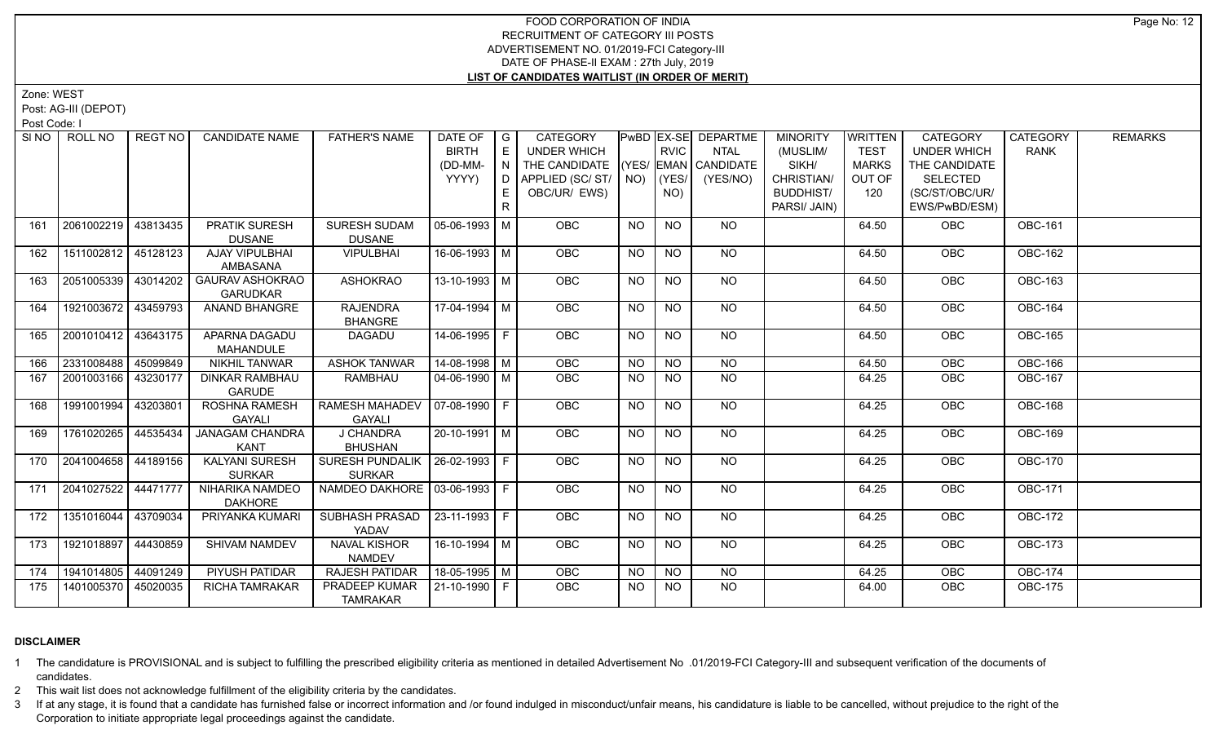Zone: WEST

Post: AG-III (DEPOT)

Post Code: I

|     | SINO FROLL NO         | l REGT NO l | <b>CANDIDATE NAME</b>                     | <b>FATHER'S NAME</b>                              | DATE OF   G         |    | CATEGORY                           |           |                | <b>PwBD EX-SE DEPARTME</b> | <b>MINORITY</b>  | <b>WRITTEN</b> | <b>CATEGORY</b>    | <b>CATEGORY</b> | <b>REMARKS</b> |
|-----|-----------------------|-------------|-------------------------------------------|---------------------------------------------------|---------------------|----|------------------------------------|-----------|----------------|----------------------------|------------------|----------------|--------------------|-----------------|----------------|
|     |                       |             |                                           |                                                   | <b>BIRTH</b>        | E. | <b>UNDER WHICH</b>                 |           | <b>RVIC</b>    | <b>NTAL</b>                | (MUSLIM/         | <b>TEST</b>    | <b>UNDER WHICH</b> | <b>RANK</b>     |                |
|     |                       |             |                                           |                                                   | (DD-MM-             | N  | THE CANDIDATE (YES/ EMAN CANDIDATE |           |                |                            | SIKH/            | <b>MARKS</b>   | THE CANDIDATE      |                 |                |
|     |                       |             |                                           |                                                   | YYYY)               | D. | APPLIED (SC/ ST/   NO)             |           | (YES/          | (YES/NO)                   | CHRISTIAN/       | OUT OF         | <b>SELECTED</b>    |                 |                |
|     |                       |             |                                           |                                                   |                     |    | OBC/UR/ EWS)                       |           | NO)            |                            | <b>BUDDHIST/</b> | 120            | (SC/ST/OBC/UR/     |                 |                |
|     |                       |             |                                           |                                                   |                     |    |                                    |           |                |                            | PARSI/ JAIN)     |                | EWS/PwBD/ESM)      |                 |                |
| 161 | 2061002219 43813435   |             | PRATIK SURESH                             | SURESH SUDAM                                      | 05-06-1993   M      |    | <b>OBC</b>                         | <b>NO</b> | <b>NO</b>      | NO.                        |                  | 64.50          | <b>OBC</b>         | <b>OBC-161</b>  |                |
|     |                       |             | <b>DUSANE</b>                             | <b>DUSANE</b>                                     |                     |    |                                    |           |                |                            |                  |                |                    |                 |                |
| 162 | 1511002812 45128123   |             | AJAY VIPULBHAI<br>AMBASANA                | <b>VIPULBHAI</b>                                  | 16-06-1993 M        |    | <b>OBC</b>                         | <b>NO</b> | <b>NO</b>      | <b>NO</b>                  |                  | 64.50          | OBC                | <b>OBC-162</b>  |                |
| 163 | 2051005339 43014202   |             | <b>GAURAV ASHOKRAO</b><br><b>GARUDKAR</b> | <b>ASHOKRAO</b>                                   | 13-10-1993 M        |    | OBC                                | <b>NO</b> | <b>NO</b>      | NO                         |                  | 64.50          | OBC                | <b>OBC-163</b>  |                |
| 164 | 1921003672 43459793   |             | ANAND BHANGRE                             | <b>RAJENDRA</b><br><b>BHANGRE</b>                 | 17-04-1994 M        |    | <b>OBC</b>                         | NO.       | <b>NO</b>      | NO                         |                  | 64.50          | <b>OBC</b>         | <b>OBC-164</b>  |                |
| 165 | 2001010412 43643175   |             | APARNA DAGADU                             | DAGADU                                            | $14-06-1995$ F      |    | <b>OBC</b>                         | <b>NO</b> | <b>NO</b>      | NO                         |                  | 64.50          | <b>OBC</b>         | <b>OBC-165</b>  |                |
|     |                       |             | MAHANDULE                                 |                                                   |                     |    |                                    |           |                |                            |                  |                |                    |                 |                |
| 166 | 2331008488 45099849   |             | <b>NIKHIL TANWAR</b>                      | <b>ASHOK TANWAR</b>                               | $14-08-1998$ M      |    | <b>OBC</b>                         | <b>NO</b> | $N$ O          | N <sub>O</sub>             |                  | 64.50          | <b>OBC</b>         | <b>OBC-166</b>  |                |
| 167 | 2001003166 43230177   |             | <b>DINKAR RAMBHAU</b><br><b>GARUDE</b>    | RAMBHAU                                           | 04-06-1990 M        |    | <b>OBC</b>                         | <b>NO</b> | <b>NO</b>      | <b>NO</b>                  |                  | 64.25          | <b>OBC</b>         | <b>OBC-167</b>  |                |
| 168 | 1991001994 43203801   |             | ROSHNA RAMESH<br><b>GAYALI</b>            | RAMESH MAHADEV   07-08-1990   F<br><b>GAYALI</b>  |                     |    | <b>OBC</b>                         | <b>NO</b> | <b>NO</b>      | <b>NO</b>                  |                  | 64.25          | OBC                | <b>OBC-168</b>  |                |
| 169 | 1761020265 44535434   |             | <b>JANAGAM CHANDRA</b><br>KANT            | J CHANDRA<br><b>BHUSHAN</b>                       | $20 - 10 - 1991$ M  |    | OBC                                | <b>NO</b> | $\overline{N}$ | NO                         |                  | 64.25          | <b>OBC</b>         | <b>OBC-169</b>  |                |
| 170 | 2041004658 44189156   |             | <b>KALYANI SURESH</b><br><b>SURKAR</b>    | SURESH PUNDALIK   26-02-1993   F<br><b>SURKAR</b> |                     |    | OBC                                | <b>NO</b> | $N$ O          | N <sub>O</sub>             |                  | 64.25          | <b>OBC</b>         | <b>OBC-170</b>  |                |
| 171 | 2041027522   44471777 |             | NIHARIKA NAMDEO<br><b>DAKHORE</b>         | NAMDEO DAKHORE   03-06-1993   F                   |                     |    | <b>OBC</b>                         | NO.       | <b>NO</b>      | NO                         |                  | 64.25          | <b>OBC</b>         | <b>OBC-171</b>  |                |
| 172 | 1351016044 43709034   |             | PRIYANKA KUMARI                           | SUBHASH PRASAD   23-11-1993   F<br>YADAV          |                     |    | <b>OBC</b>                         | <b>NO</b> | <b>NO</b>      | NO.                        |                  | 64.25          | <b>OBC</b>         | <b>OBC-172</b>  |                |
| 173 | 1921018897 44430859   |             | <b>SHIVAM NAMDEV</b>                      | <b>NAVAL KISHOR</b><br><b>NAMDEV</b>              | 16-10-1994 M        |    | OBC                                | <b>NO</b> | <b>NO</b>      | <b>NO</b>                  |                  | 64.25          | <b>OBC</b>         | <b>OBC-173</b>  |                |
| 174 | 1941014805 44091249   |             | PIYUSH PATIDAR                            | <b>RAJESH PATIDAR</b>                             | 18-05-1995   M      |    | OBC                                | NO.       | <b>NO</b>      | <b>NO</b>                  |                  | 64.25          | <b>OBC</b>         | <b>OBC-174</b>  |                |
| 175 | 1401005370 45020035   |             | <b>RICHA TAMRAKAR</b>                     | PRADEEP KUMAR<br><b>TAMRAKAR</b>                  | $121 - 10 - 1990$ F |    | <b>OBC</b>                         | NO.       | <b>NO</b>      | NO                         |                  | 64.00          | <b>OBC</b>         | <b>OBC-175</b>  |                |

#### **DISCLAIMER**

1 The candidature is PROVISIONAL and is subject to fulfilling the prescribed eligibility criteria as mentioned in detailed Advertisement No .01/2019-FCI Category-III and subsequent verification of the documents of candidates.

2 This wait list does not acknowledge fulfillment of the eligibility criteria by the candidates.

3 If at any stage, it is found that a candidate has furnished false or incorrect information and /or found indulged in misconduct/unfair means, his candidature is liable to be cancelled, without prejudice to the right of t Corporation to initiate appropriate legal proceedings against the candidate.